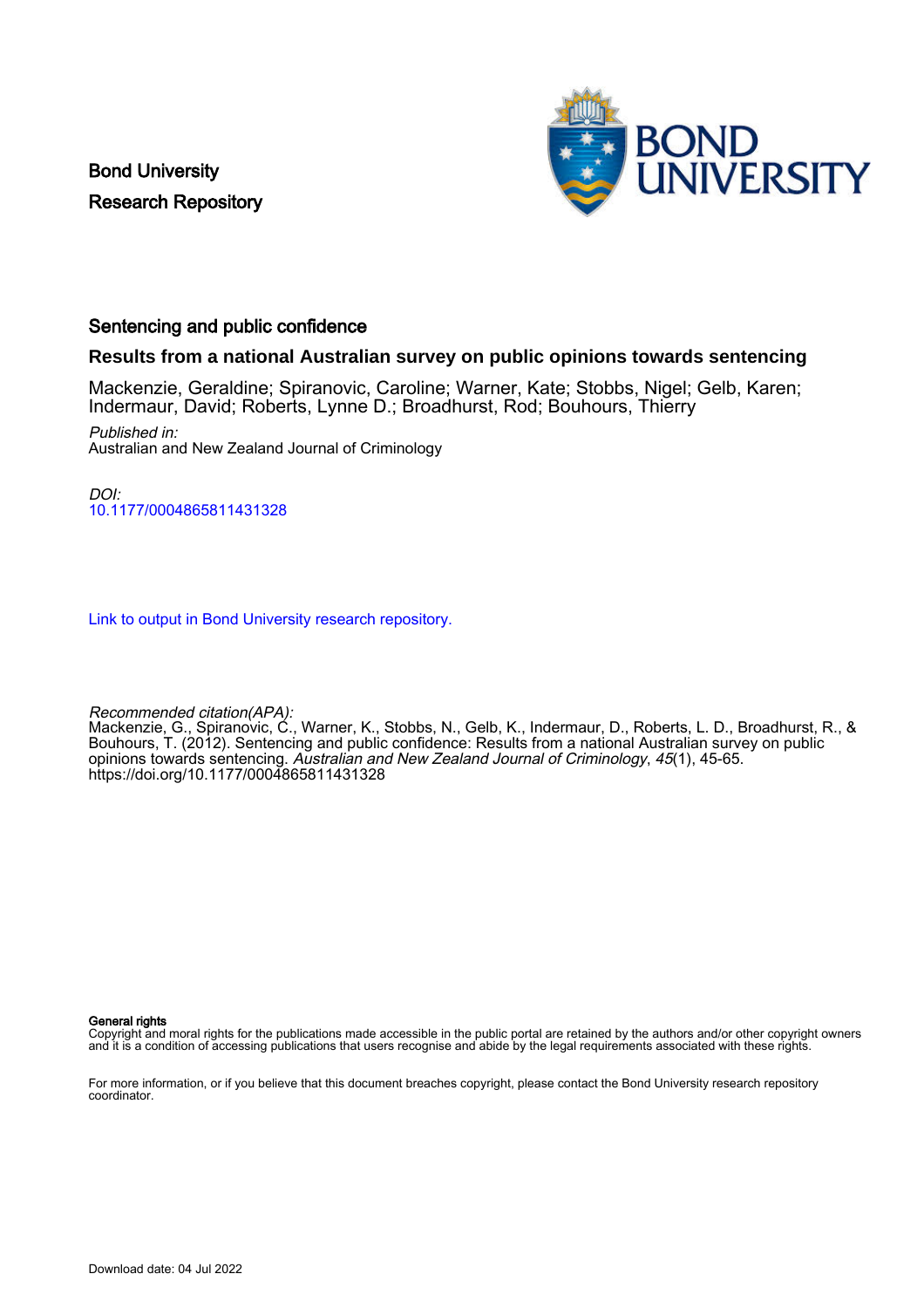Bond University Research Repository



# Sentencing and public confidence

# **Results from a national Australian survey on public opinions towards sentencing**

Mackenzie, Geraldine; Spiranovic, Caroline; Warner, Kate; Stobbs, Nigel; Gelb, Karen; Indermaur, David; Roberts, Lynne D.; Broadhurst, Rod; Bouhours, Thierry

Published in: Australian and New Zealand Journal of Criminology

 $D$  $O$ [10.1177/0004865811431328](https://doi.org/10.1177/0004865811431328)

[Link to output in Bond University research repository.](https://research.bond.edu.au/en/publications/33729cdf-1dc2-4fdc-ab0f-c3432600b86d)

Recommended citation(APA):

Mackenzie, G., Spiranovic, C., Warner, K., Stobbs, N., Gelb, K., Indermaur, D., Roberts, L. D., Broadhurst, R., & Bouhours, T. (2012). Sentencing and public confidence: Results from a national Australian survey on public opinions towards sentencing. Australian and New Zealand Journal of Criminology, 45(1), 45-65. <https://doi.org/10.1177/0004865811431328>

General rights

Copyright and moral rights for the publications made accessible in the public portal are retained by the authors and/or other copyright owners and it is a condition of accessing publications that users recognise and abide by the legal requirements associated with these rights.

For more information, or if you believe that this document breaches copyright, please contact the Bond University research repository coordinator.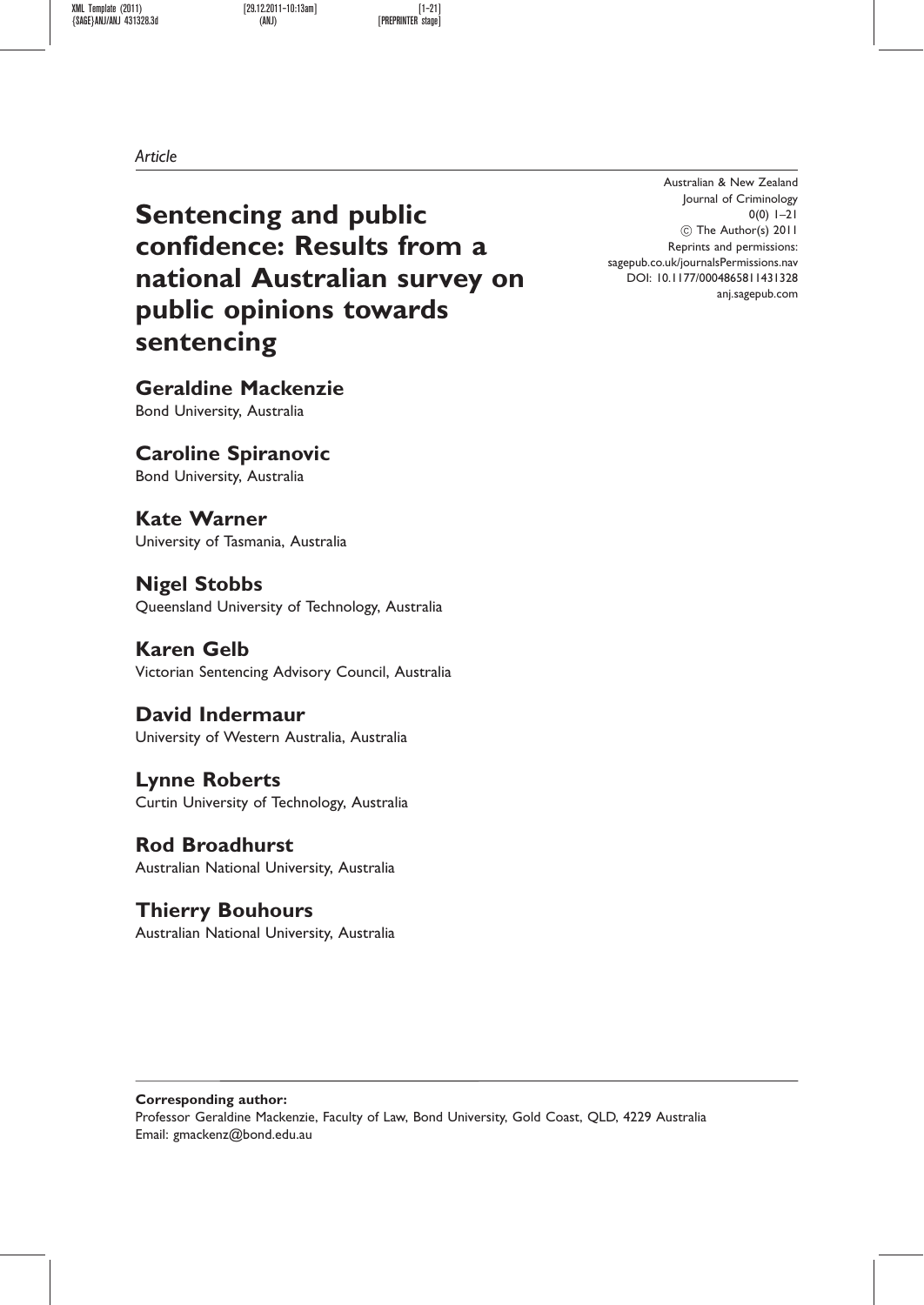XML Template (2011) [29.12.2011–10:13am] [1–21]  ${SAGE}$ ANJ/ANJ 431328.3d

Article

Sentencing and public confidence: Results from a national Australian survey on public opinions towards sentencing

Geraldine Mackenzie Bond University, Australia

Caroline Spiranovic Bond University, Australia

Kate Warner University of Tasmania, Australia

Nigel Stobbs Queensland University of Technology, Australia

Karen Gelb Victorian Sentencing Advisory Council, Australia

David Indermaur University of Western Australia, Australia

Lynne Roberts Curtin University of Technology, Australia

Rod Broadhurst Australian National University, Australia

Thierry Bouhours Australian National University, Australia

Australian & New Zealand Journal of Criminology 0(0) 1–21 C The Author(s) 2011 Reprints and permissions: sagepub.co.uk/journalsPermissions.nav DOI: 10.1177/0004865811431328 anj.sagepub.com

Corresponding author: Professor Geraldine Mackenzie, Faculty of Law, Bond University, Gold Coast, QLD, 4229 Australia Email: gmackenz@bond.edu.au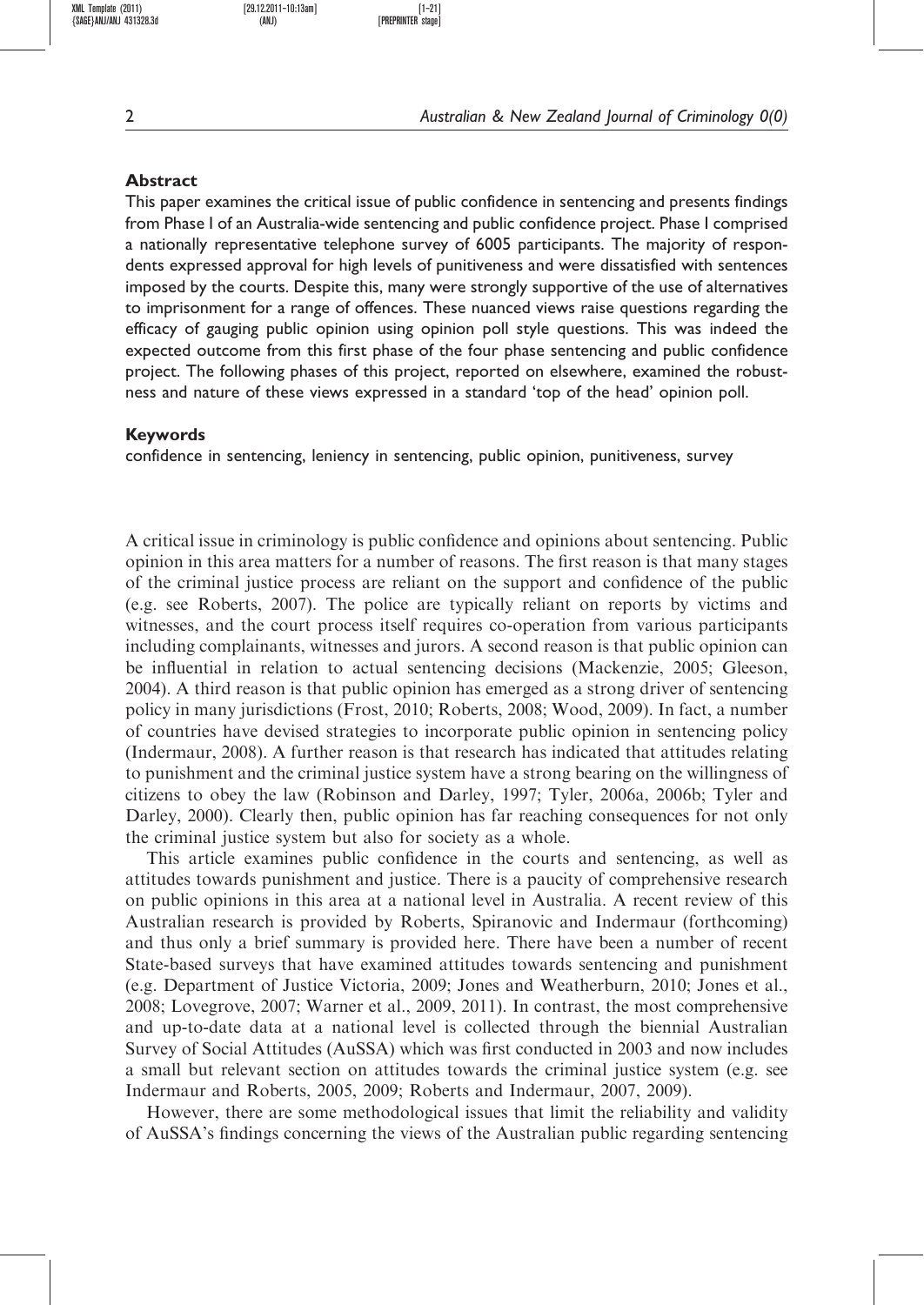${SAGE}$ ANJ/ANJ 431328.3d (ANJ)

XML Template (2011) [29.12.2011–10:13am] [1–21]

### Abstract

This paper examines the critical issue of public confidence in sentencing and presents findings from Phase I of an Australia-wide sentencing and public confidence project. Phase I comprised a nationally representative telephone survey of 6005 participants. The majority of respondents expressed approval for high levels of punitiveness and were dissatisfied with sentences imposed by the courts. Despite this, many were strongly supportive of the use of alternatives to imprisonment for a range of offences. These nuanced views raise questions regarding the efficacy of gauging public opinion using opinion poll style questions. This was indeed the expected outcome from this first phase of the four phase sentencing and public confidence project. The following phases of this project, reported on elsewhere, examined the robustness and nature of these views expressed in a standard 'top of the head' opinion poll.

### Keywords

confidence in sentencing, leniency in sentencing, public opinion, punitiveness, survey

A critical issue in criminology is public confidence and opinions about sentencing. Public opinion in this area matters for a number of reasons. The first reason is that many stages of the criminal justice process are reliant on the support and confidence of the public (e.g. see Roberts, 2007). The police are typically reliant on reports by victims and witnesses, and the court process itself requires co-operation from various participants including complainants, witnesses and jurors. A second reason is that public opinion can be influential in relation to actual sentencing decisions (Mackenzie, 2005; Gleeson, 2004). A third reason is that public opinion has emerged as a strong driver of sentencing policy in many jurisdictions (Frost, 2010; Roberts, 2008; Wood, 2009). In fact, a number of countries have devised strategies to incorporate public opinion in sentencing policy (Indermaur, 2008). A further reason is that research has indicated that attitudes relating to punishment and the criminal justice system have a strong bearing on the willingness of citizens to obey the law (Robinson and Darley, 1997; Tyler, 2006a, 2006b; Tyler and Darley, 2000). Clearly then, public opinion has far reaching consequences for not only the criminal justice system but also for society as a whole.

This article examines public confidence in the courts and sentencing, as well as attitudes towards punishment and justice. There is a paucity of comprehensive research on public opinions in this area at a national level in Australia. A recent review of this Australian research is provided by Roberts, Spiranovic and Indermaur (forthcoming) and thus only a brief summary is provided here. There have been a number of recent State-based surveys that have examined attitudes towards sentencing and punishment (e.g. Department of Justice Victoria, 2009; Jones and Weatherburn, 2010; Jones et al., 2008; Lovegrove, 2007; Warner et al., 2009, 2011). In contrast, the most comprehensive and up-to-date data at a national level is collected through the biennial Australian Survey of Social Attitudes (AuSSA) which was first conducted in 2003 and now includes a small but relevant section on attitudes towards the criminal justice system (e.g. see Indermaur and Roberts, 2005, 2009; Roberts and Indermaur, 2007, 2009).

However, there are some methodological issues that limit the reliability and validity of AuSSA's findings concerning the views of the Australian public regarding sentencing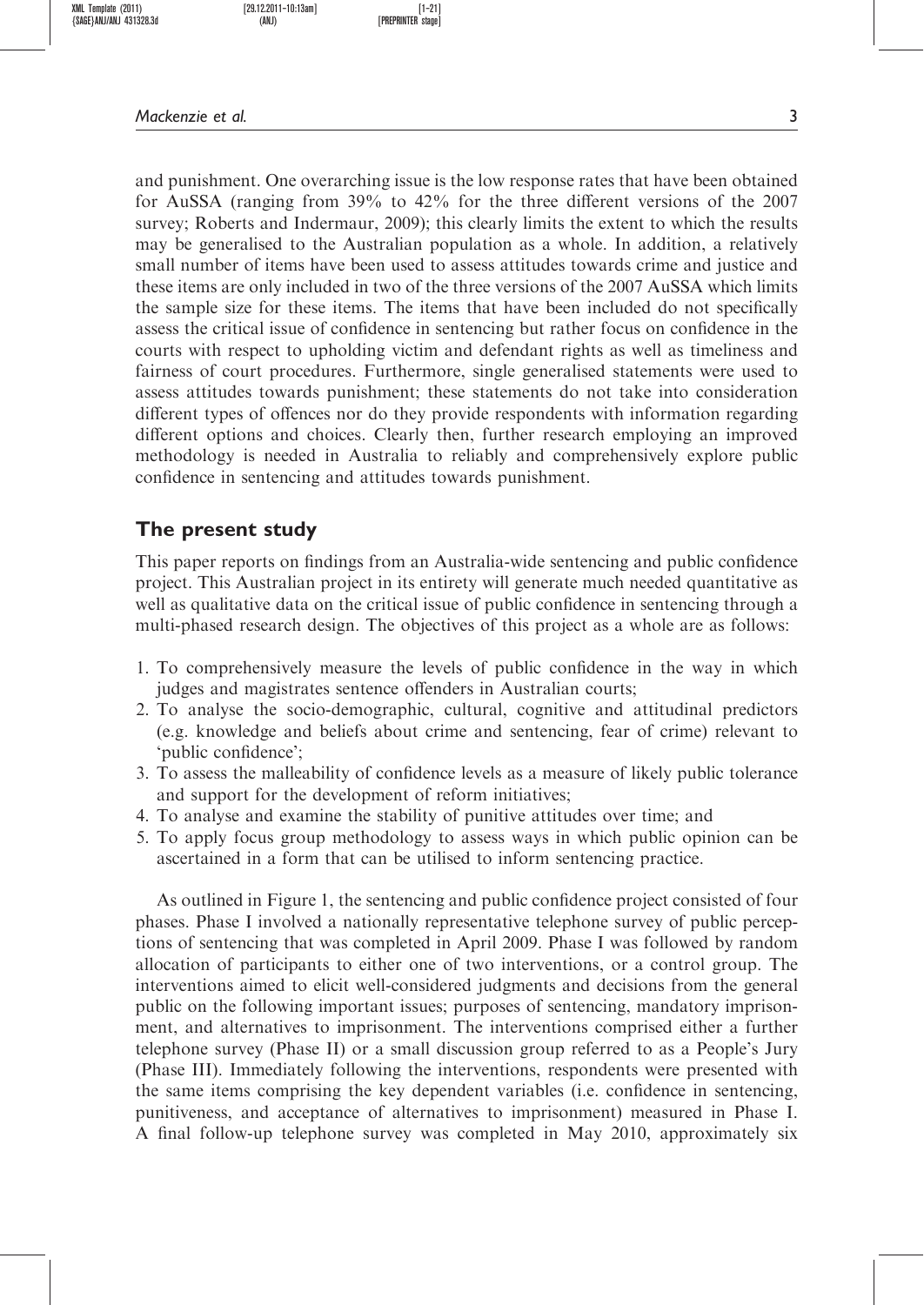Mackenzie et al. 3

and punishment. One overarching issue is the low response rates that have been obtained for AuSSA (ranging from 39% to 42% for the three different versions of the 2007 survey; Roberts and Indermaur, 2009); this clearly limits the extent to which the results may be generalised to the Australian population as a whole. In addition, a relatively small number of items have been used to assess attitudes towards crime and justice and these items are only included in two of the three versions of the 2007 AuSSA which limits the sample size for these items. The items that have been included do not specifically assess the critical issue of confidence in sentencing but rather focus on confidence in the courts with respect to upholding victim and defendant rights as well as timeliness and fairness of court procedures. Furthermore, single generalised statements were used to assess attitudes towards punishment; these statements do not take into consideration different types of offences nor do they provide respondents with information regarding different options and choices. Clearly then, further research employing an improved methodology is needed in Australia to reliably and comprehensively explore public confidence in sentencing and attitudes towards punishment.

## The present study

This paper reports on findings from an Australia-wide sentencing and public confidence project. This Australian project in its entirety will generate much needed quantitative as well as qualitative data on the critical issue of public confidence in sentencing through a multi-phased research design. The objectives of this project as a whole are as follows:

- 1. To comprehensively measure the levels of public confidence in the way in which judges and magistrates sentence offenders in Australian courts;
- 2. To analyse the socio-demographic, cultural, cognitive and attitudinal predictors (e.g. knowledge and beliefs about crime and sentencing, fear of crime) relevant to 'public confidence';
- 3. To assess the malleability of confidence levels as a measure of likely public tolerance and support for the development of reform initiatives;
- 4. To analyse and examine the stability of punitive attitudes over time; and
- 5. To apply focus group methodology to assess ways in which public opinion can be ascertained in a form that can be utilised to inform sentencing practice.

As outlined in Figure 1, the sentencing and public confidence project consisted of four phases. Phase I involved a nationally representative telephone survey of public perceptions of sentencing that was completed in April 2009. Phase I was followed by random allocation of participants to either one of two interventions, or a control group. The interventions aimed to elicit well-considered judgments and decisions from the general public on the following important issues; purposes of sentencing, mandatory imprisonment, and alternatives to imprisonment. The interventions comprised either a further telephone survey (Phase II) or a small discussion group referred to as a People's Jury (Phase III). Immediately following the interventions, respondents were presented with the same items comprising the key dependent variables (i.e. confidence in sentencing, punitiveness, and acceptance of alternatives to imprisonment) measured in Phase I. A final follow-up telephone survey was completed in May 2010, approximately six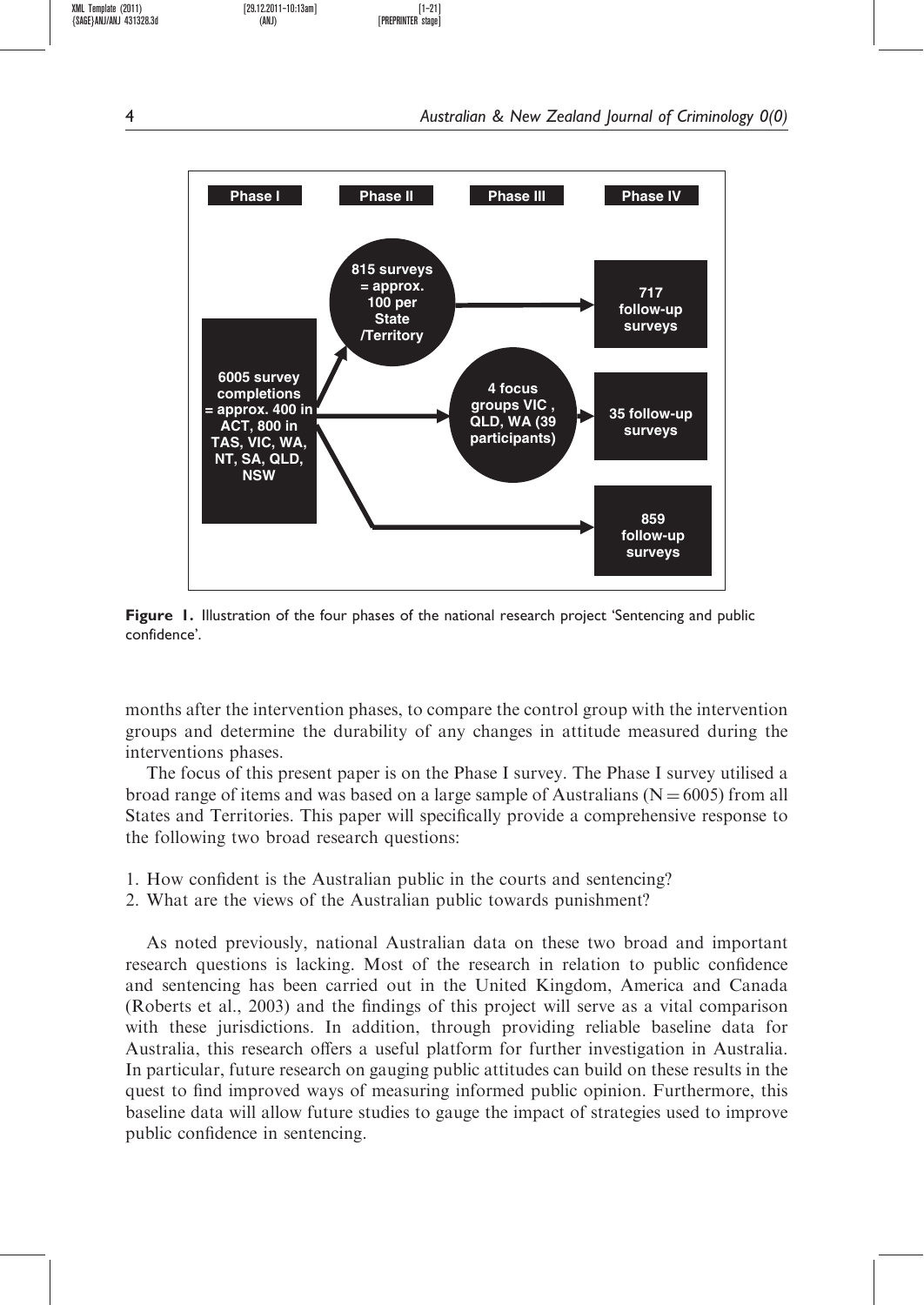

Figure 1. Illustration of the four phases of the national research project 'Sentencing and public confidence'.

months after the intervention phases, to compare the control group with the intervention groups and determine the durability of any changes in attitude measured during the interventions phases.

The focus of this present paper is on the Phase I survey. The Phase I survey utilised a broad range of items and was based on a large sample of Australians ( $N = 6005$ ) from all States and Territories. This paper will specifically provide a comprehensive response to the following two broad research questions:

- 1. How confident is the Australian public in the courts and sentencing?
- 2. What are the views of the Australian public towards punishment?

As noted previously, national Australian data on these two broad and important research questions is lacking. Most of the research in relation to public confidence and sentencing has been carried out in the United Kingdom, America and Canada (Roberts et al., 2003) and the findings of this project will serve as a vital comparison with these jurisdictions. In addition, through providing reliable baseline data for Australia, this research offers a useful platform for further investigation in Australia. In particular, future research on gauging public attitudes can build on these results in the quest to find improved ways of measuring informed public opinion. Furthermore, this baseline data will allow future studies to gauge the impact of strategies used to improve public confidence in sentencing.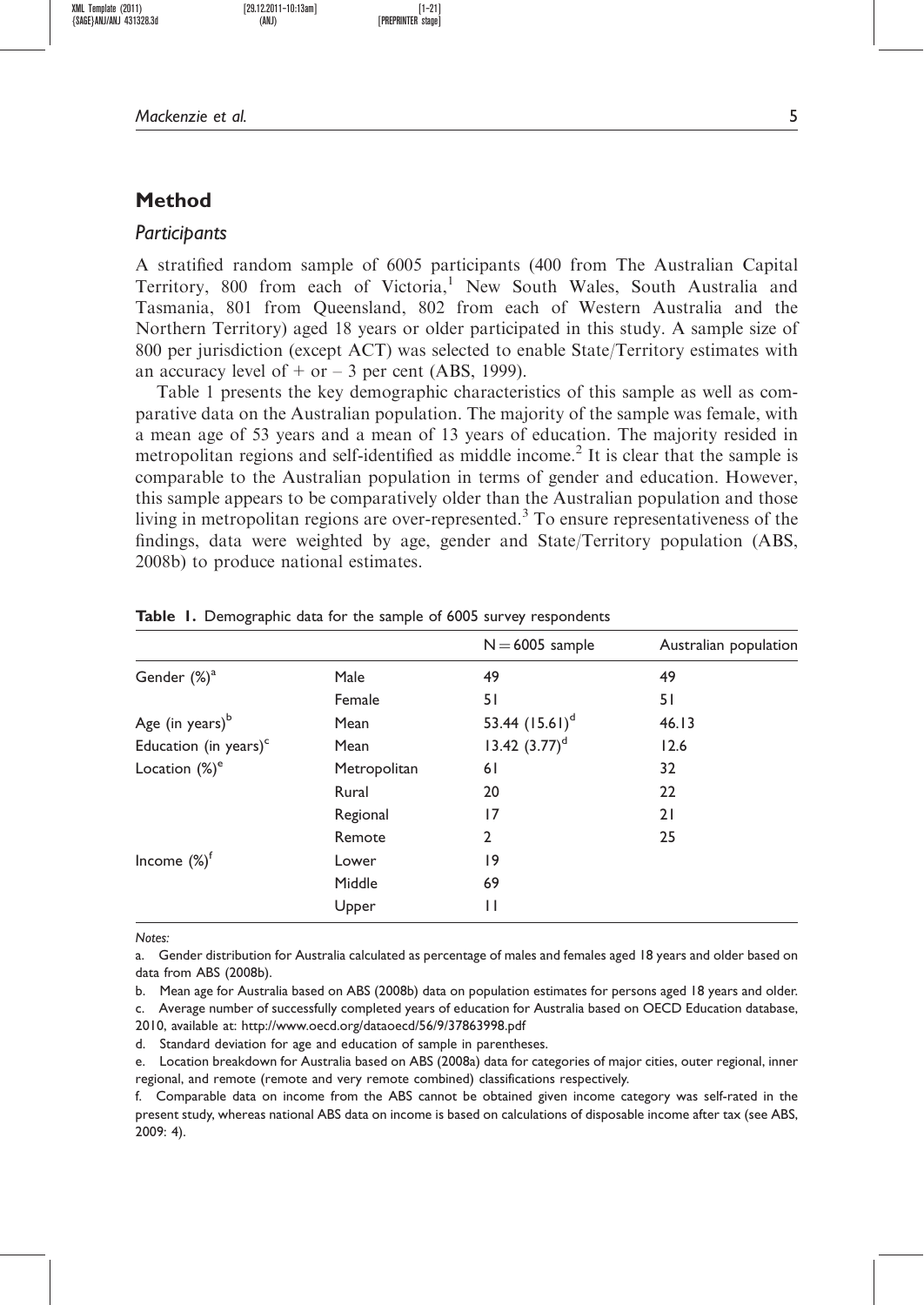Mackenzie et al. 5

## Method

#### Participants

A stratified random sample of 6005 participants (400 from The Australian Capital Territory, 800 from each of Victoria,<sup>1</sup> New South Wales, South Australia and Tasmania, 801 from Queensland, 802 from each of Western Australia and the Northern Territory) aged 18 years or older participated in this study. A sample size of 800 per jurisdiction (except ACT) was selected to enable State/Territory estimates with an accuracy level of  $+$  or  $-$  3 per cent (ABS, 1999).

Table 1 presents the key demographic characteristics of this sample as well as comparative data on the Australian population. The majority of the sample was female, with a mean age of 53 years and a mean of 13 years of education. The majority resided in metropolitan regions and self-identified as middle income.<sup>2</sup> It is clear that the sample is comparable to the Australian population in terms of gender and education. However, this sample appears to be comparatively older than the Australian population and those living in metropolitan regions are over-represented.<sup>3</sup> To ensure representativeness of the findings, data were weighted by age, gender and State/Territory population (ABS, 2008b) to produce national estimates.

|                                   |              | $N = 6005$ sample | Australian population |
|-----------------------------------|--------------|-------------------|-----------------------|
| Gender (%) <sup>a</sup>           | Male         | 49                | 49                    |
|                                   | Female       | 51                | 51                    |
| Age (in years) <sup>b</sup>       | Mean         | 53.44 $(15.61)^d$ | 46.13                 |
| Education (in years) <sup>c</sup> | Mean         | 13.42 $(3.77)^d$  | 12.6                  |
| Location $(\%)^e$                 | Metropolitan | 61                | 32                    |
|                                   | Rural        | 20                | 22                    |
|                                   | Regional     | 17                | 21                    |
|                                   | Remote       | $\mathfrak{p}$    | 25                    |
| Income $(\%)^f$                   | Lower        | 9                 |                       |
|                                   | Middle       | 69                |                       |
|                                   | Upper        | $\mathsf{I}$      |                       |

Table 1. Demographic data for the sample of 6005 survey respondents

Notes:

a. Gender distribution for Australia calculated as percentage of males and females aged 18 years and older based on data from ABS (2008b).

b. Mean age for Australia based on ABS (2008b) data on population estimates for persons aged 18 years and older.

c. Average number of successfully completed years of education for Australia based on OECD Education database, 2010, available at: http://www.oecd.org/dataoecd/56/9/37863998.pdf

d. Standard deviation for age and education of sample in parentheses.

e. Location breakdown for Australia based on ABS (2008a) data for categories of major cities, outer regional, inner regional, and remote (remote and very remote combined) classifications respectively.

f. Comparable data on income from the ABS cannot be obtained given income category was self-rated in the present study, whereas national ABS data on income is based on calculations of disposable income after tax (see ABS, 2009: 4).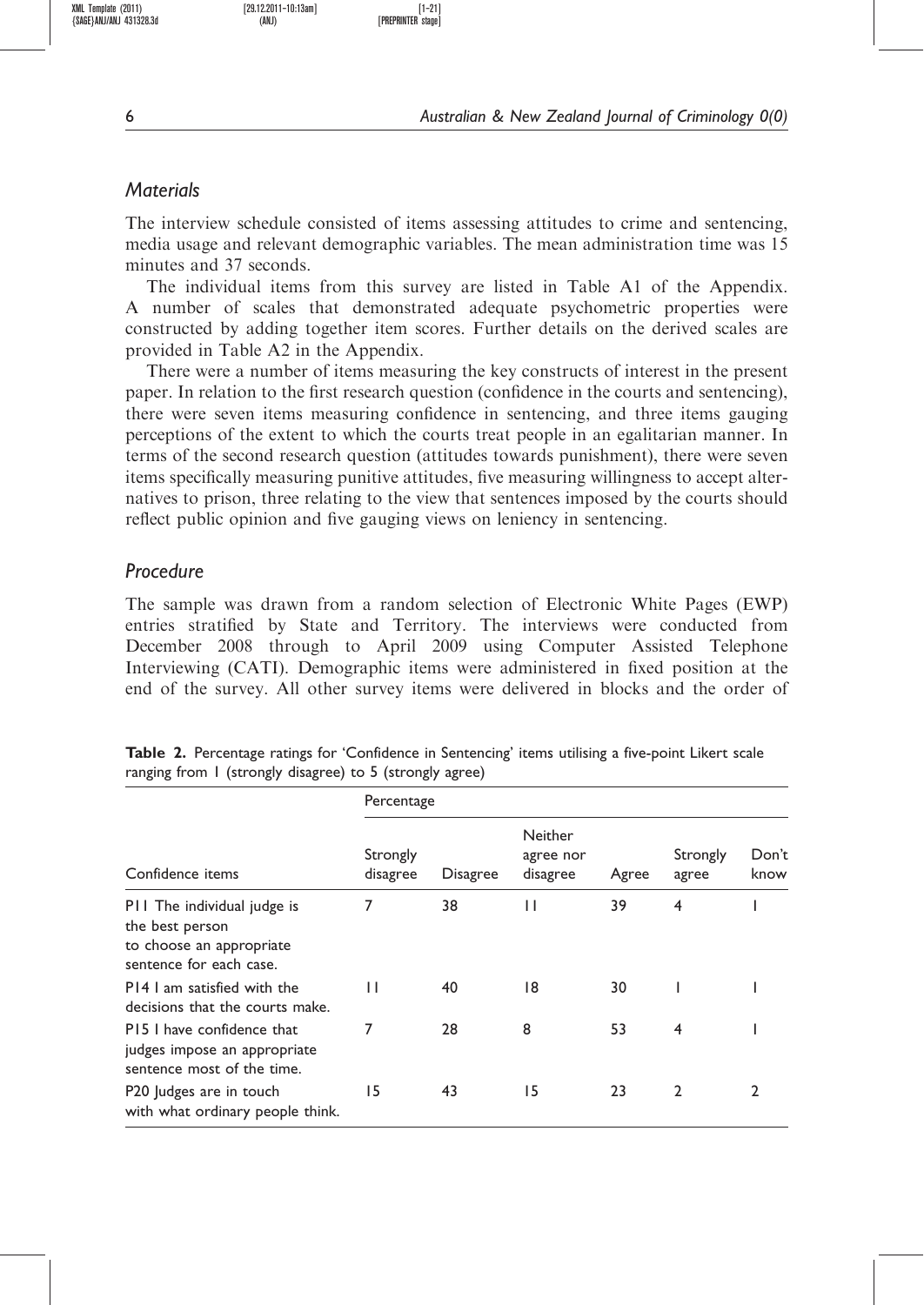XML Template (2011) [29.12.2011–10:13am] [1–21]

## **Materials**

The interview schedule consisted of items assessing attitudes to crime and sentencing, media usage and relevant demographic variables. The mean administration time was 15 minutes and 37 seconds.

The individual items from this survey are listed in Table A1 of the Appendix. A number of scales that demonstrated adequate psychometric properties were constructed by adding together item scores. Further details on the derived scales are provided in Table A2 in the Appendix.

There were a number of items measuring the key constructs of interest in the present paper. In relation to the first research question (confidence in the courts and sentencing), there were seven items measuring confidence in sentencing, and three items gauging perceptions of the extent to which the courts treat people in an egalitarian manner. In terms of the second research question (attitudes towards punishment), there were seven items specifically measuring punitive attitudes, five measuring willingness to accept alternatives to prison, three relating to the view that sentences imposed by the courts should reflect public opinion and five gauging views on leniency in sentencing.

## Procedure

The sample was drawn from a random selection of Electronic White Pages (EWP) entries stratified by State and Territory. The interviews were conducted from December 2008 through to April 2009 using Computer Assisted Telephone Interviewing (CATI). Demographic items were administered in fixed position at the end of the survey. All other survey items were delivered in blocks and the order of

|                                                                                                       |                      | Percentage      |                                  |       |                   |               |  |  |  |
|-------------------------------------------------------------------------------------------------------|----------------------|-----------------|----------------------------------|-------|-------------------|---------------|--|--|--|
| Confidence items                                                                                      | Strongly<br>disagree | <b>Disagree</b> | Neither<br>agree nor<br>disagree | Agree | Strongly<br>agree | Don't<br>know |  |  |  |
| P11 The individual judge is<br>the best person<br>to choose an appropriate<br>sentence for each case. | 7                    | 38              | П                                | 39    | 4                 |               |  |  |  |
| P14 Lam satisfied with the<br>decisions that the courts make.                                         | $\mathsf{I}$         | 40              | 18                               | 30    |                   |               |  |  |  |
| P15 I have confidence that<br>judges impose an appropriate<br>sentence most of the time.              | 7                    | 28              | 8                                | 53    | 4                 |               |  |  |  |
| P20 Judges are in touch<br>with what ordinary people think.                                           | 15                   | 43              | 15                               | 23    | $\mathbf{2}$      |               |  |  |  |

Table 2. Percentage ratings for 'Confidence in Sentencing' items utilising a five-point Likert scale ranging from 1 (strongly disagree) to 5 (strongly agree)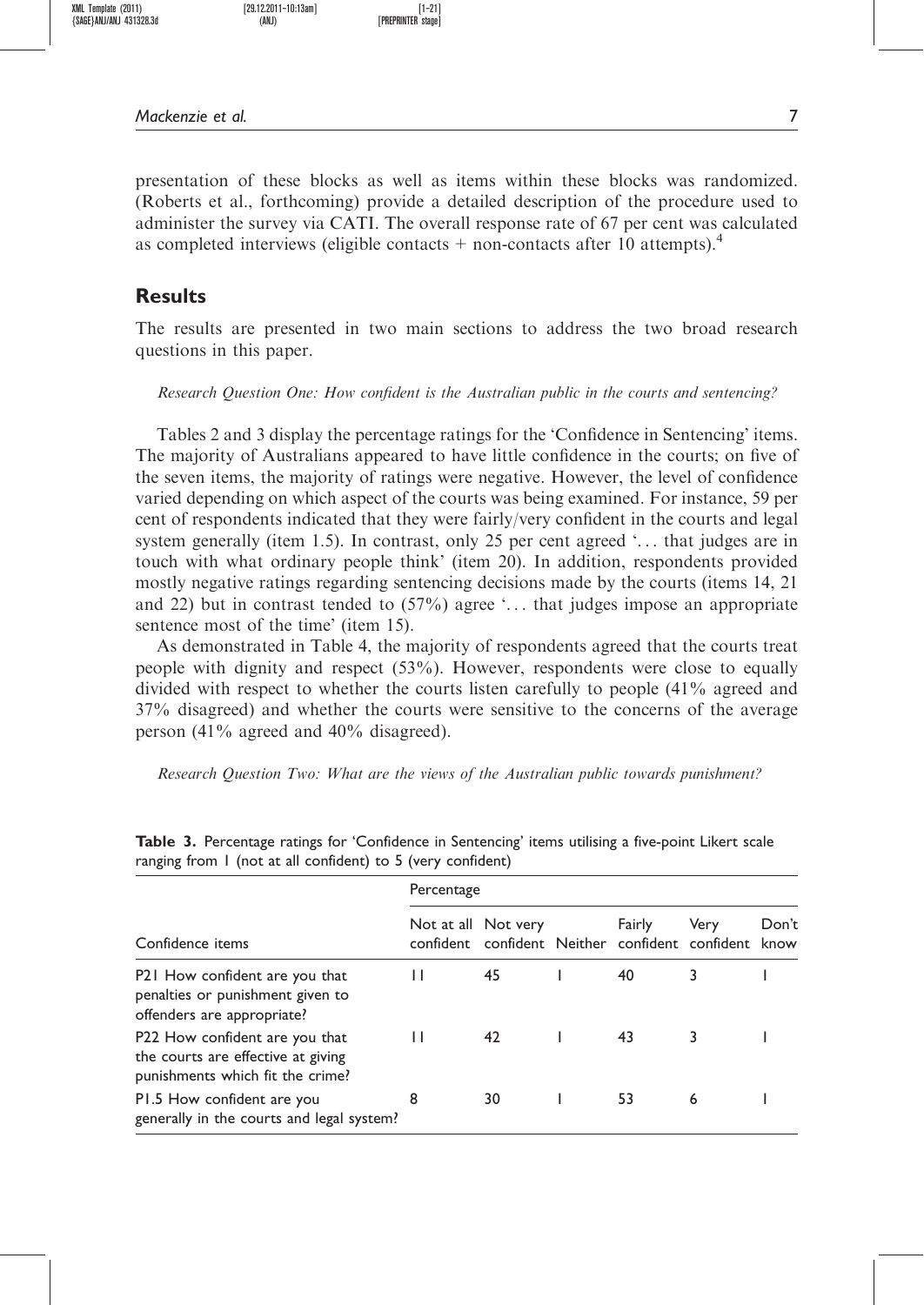XML Template (2011) [29.12.2011–10:13am] [1–21]  ${SAGE}$ ANJ/ANJ 431328.3d (ANJ)

Mackenzie et al. 7

presentation of these blocks as well as items within these blocks was randomized. (Roberts et al., forthcoming) provide a detailed description of the procedure used to administer the survey via CATI. The overall response rate of 67 per cent was calculated as completed interviews (eligible contacts  $+$  non-contacts after 10 attempts).<sup>4</sup>

## Results

The results are presented in two main sections to address the two broad research questions in this paper.

#### Research Question One: How confident is the Australian public in the courts and sentencing?

Tables 2 and 3 display the percentage ratings for the 'Confidence in Sentencing' items. The majority of Australians appeared to have little confidence in the courts; on five of the seven items, the majority of ratings were negative. However, the level of confidence varied depending on which aspect of the courts was being examined. For instance, 59 per cent of respondents indicated that they were fairly/very confident in the courts and legal system generally (item 1.5). In contrast, only 25 per cent agreed '... that judges are in touch with what ordinary people think' (item 20). In addition, respondents provided mostly negative ratings regarding sentencing decisions made by the courts (items 14, 21 and 22) but in contrast tended to  $(57%)$  agree '... that judges impose an appropriate sentence most of the time' (item 15).

As demonstrated in Table 4, the majority of respondents agreed that the courts treat people with dignity and respect (53%). However, respondents were close to equally divided with respect to whether the courts listen carefully to people (41% agreed and 37% disagreed) and whether the courts were sensitive to the concerns of the average person (41% agreed and 40% disagreed).

Research Question Two: What are the views of the Australian public towards punishment?

|                                                                                                          | Percentage |                                                                        |  |        |      |               |  |  |
|----------------------------------------------------------------------------------------------------------|------------|------------------------------------------------------------------------|--|--------|------|---------------|--|--|
| Confidence items                                                                                         |            | Not at all Not very<br>confident confident Neither confident confident |  | Fairly | Very | Don't<br>know |  |  |
| P21 How confident are you that<br>penalties or punishment given to<br>offenders are appropriate?         | ш          | 45                                                                     |  | 40     |      |               |  |  |
| P22 How confident are you that<br>the courts are effective at giving<br>punishments which fit the crime? | ш          | 42                                                                     |  | 43     |      |               |  |  |
| P1.5 How confident are you<br>generally in the courts and legal system?                                  | 8          | 30                                                                     |  | 53     | 6    |               |  |  |

Table 3. Percentage ratings for 'Confidence in Sentencing' items utilising a five-point Likert scale ranging from 1 (not at all confident) to 5 (very confident)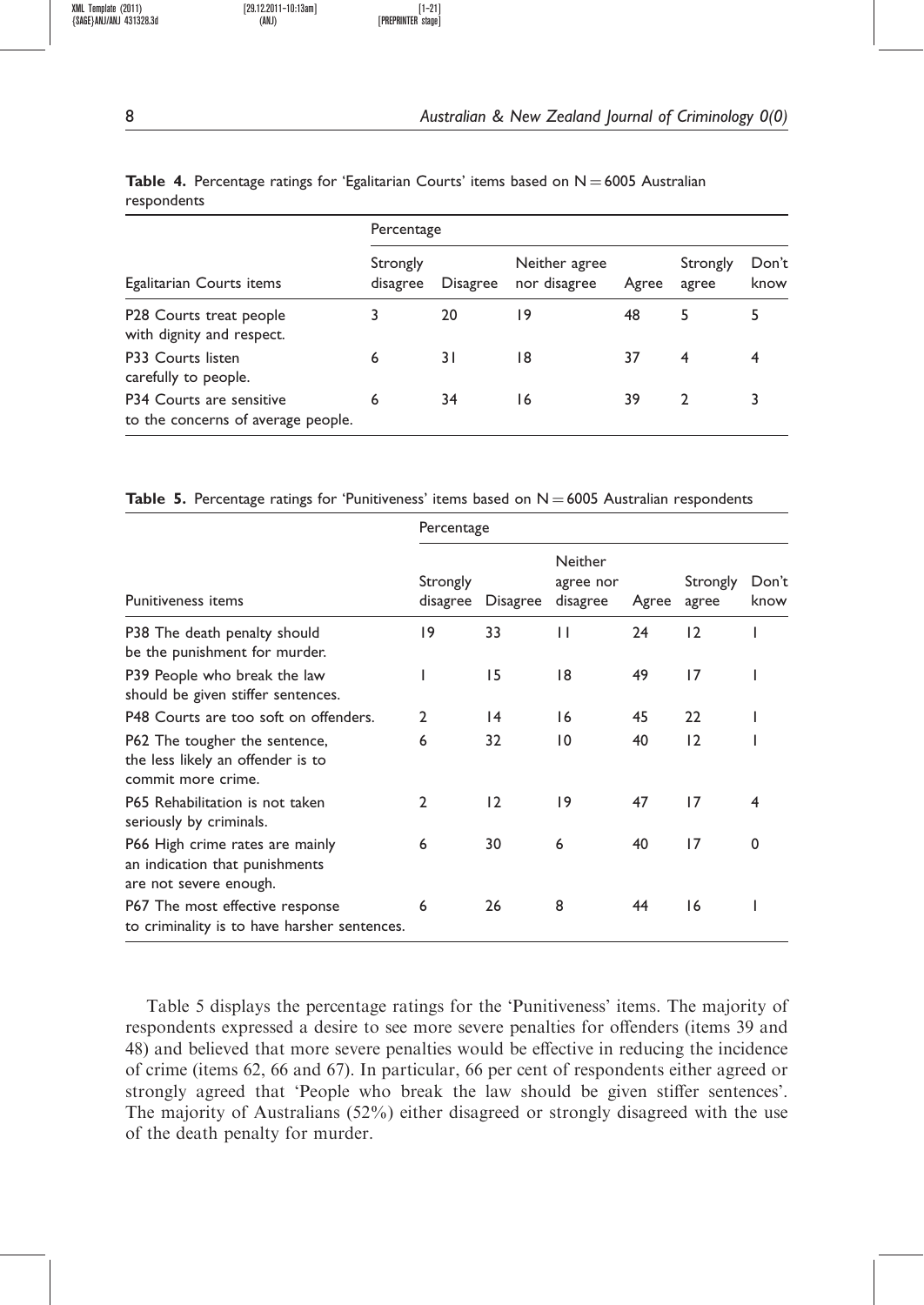|             |  |  |  | <b>Table 4.</b> Percentage ratings for 'Egalitarian Courts' items based on $N = 6005$ Australian |  |
|-------------|--|--|--|--------------------------------------------------------------------------------------------------|--|
| respondents |  |  |  |                                                                                                  |  |

|                                                                | Percentage           |                 |                               |       |                   |               |  |  |
|----------------------------------------------------------------|----------------------|-----------------|-------------------------------|-------|-------------------|---------------|--|--|
| Egalitarian Courts items                                       | Strongly<br>disagree | <b>Disagree</b> | Neither agree<br>nor disagree | Agree | Strongly<br>agree | Don't<br>know |  |  |
| P28 Courts treat people<br>with dignity and respect.           |                      | 20              | ۱9                            | 48    | 5                 | 5             |  |  |
| P33 Courts listen<br>carefully to people.                      | 6                    | 31              | 18                            | 37    | 4                 | 4             |  |  |
| P34 Courts are sensitive<br>to the concerns of average people. | 6                    | 34              | 16                            | 39    |                   |               |  |  |

**Table 5.** Percentage ratings for 'Punitiveness' items based on  $N = 6005$  Australian respondents

|                                                                                             | Percentage           |          |                                         |       |                   |               |  |  |
|---------------------------------------------------------------------------------------------|----------------------|----------|-----------------------------------------|-------|-------------------|---------------|--|--|
| <b>Punitiveness items</b>                                                                   | Strongly<br>disagree | Disagree | <b>Neither</b><br>agree nor<br>disagree | Agree | Strongly<br>agree | Don't<br>know |  |  |
| P38 The death penalty should<br>be the punishment for murder.                               | 19                   | 33       | П                                       | 24    | 12                |               |  |  |
| P39 People who break the law<br>should be given stiffer sentences.                          |                      | 15       | 18                                      | 49    | 17                |               |  |  |
| P48 Courts are too soft on offenders.                                                       | $\mathbf{2}$         | 4        | 16                                      | 45    | 22                |               |  |  |
| P62 The tougher the sentence,<br>the less likely an offender is to<br>commit more crime.    | 6                    | 32       | $\overline{10}$                         | 40    | 12                |               |  |  |
| P65 Rehabilitation is not taken<br>seriously by criminals.                                  | $\mathfrak{p}$       | 12       | 9                                       | 47    | 17                | 4             |  |  |
| P66 High crime rates are mainly<br>an indication that punishments<br>are not severe enough. | 6                    | 30       | 6                                       | 40    | 17                | $\Omega$      |  |  |
| P67 The most effective response<br>to criminality is to have harsher sentences.             | 6                    | 26       | 8                                       | 44    | 16                |               |  |  |

Table 5 displays the percentage ratings for the 'Punitiveness' items. The majority of respondents expressed a desire to see more severe penalties for offenders (items 39 and 48) and believed that more severe penalties would be effective in reducing the incidence of crime (items 62, 66 and 67). In particular, 66 per cent of respondents either agreed or strongly agreed that 'People who break the law should be given stiffer sentences'. The majority of Australians (52%) either disagreed or strongly disagreed with the use of the death penalty for murder.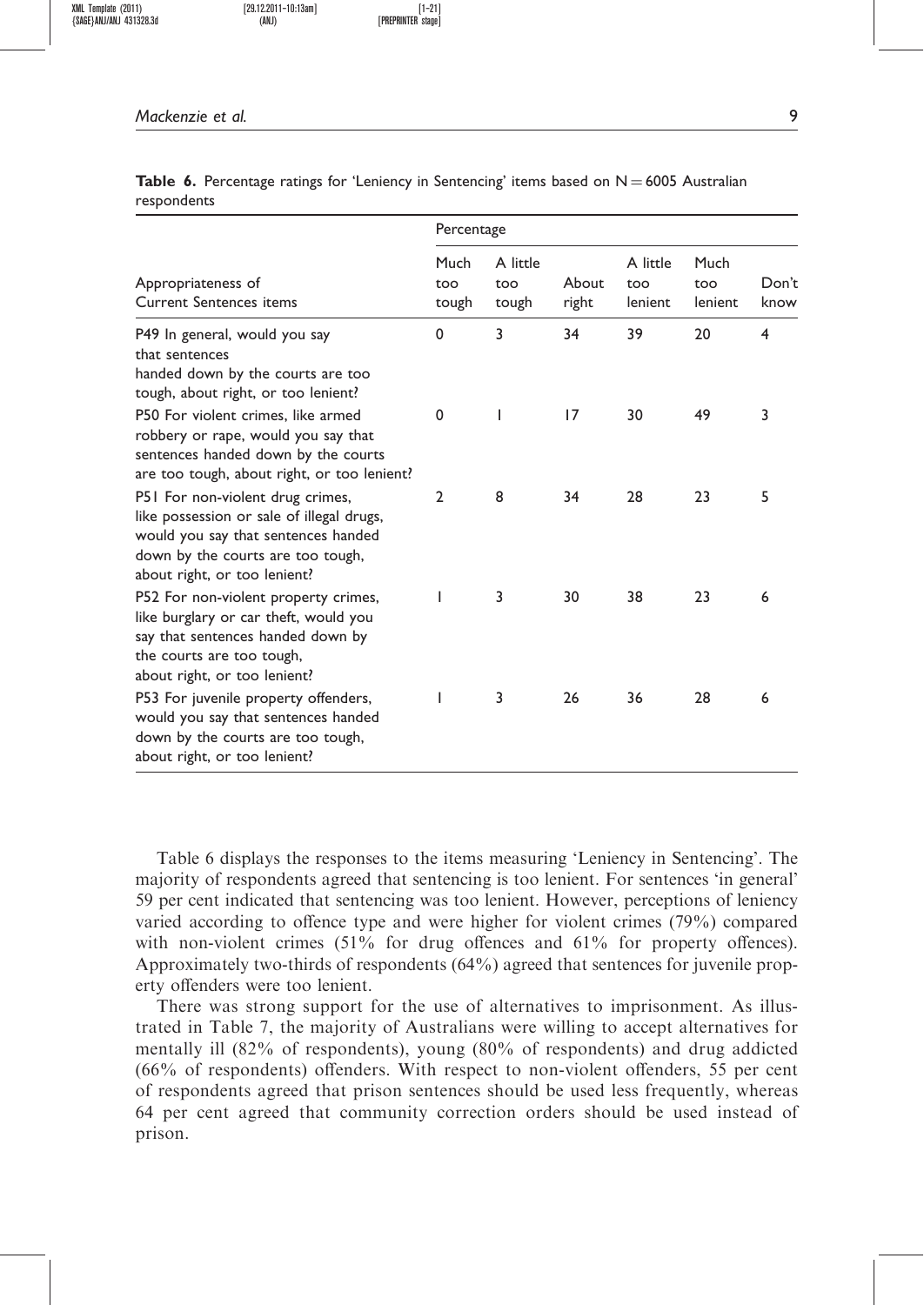XML Template (2011) [29.12.2011–10:13am] [1–21]  ${SAGE}$ anj/anj`431328.3d (ANJ)

Mackenzie et al. 9

|             |  |  | <b>Table 6.</b> Percentage ratings for 'Leniency in Sentencing' items based on $N = 6005$ Australian |  |  |
|-------------|--|--|------------------------------------------------------------------------------------------------------|--|--|
| respondents |  |  |                                                                                                      |  |  |

|                                                                                                                                                                                           | Percentage           |                          |                |                            |                        |               |  |
|-------------------------------------------------------------------------------------------------------------------------------------------------------------------------------------------|----------------------|--------------------------|----------------|----------------------------|------------------------|---------------|--|
| Appropriateness of<br><b>Current Sentences items</b>                                                                                                                                      | Much<br>too<br>tough | A little<br>too<br>tough | About<br>right | A little<br>too<br>lenient | Much<br>too<br>lenient | Don't<br>know |  |
| P49 In general, would you say<br>that sentences<br>handed down by the courts are too<br>tough, about right, or too lenient?                                                               | 0                    | 3                        | 34             | 39                         | 20                     | 4             |  |
| P50 For violent crimes, like armed<br>robbery or rape, would you say that<br>sentences handed down by the courts<br>are too tough, about right, or too lenient?                           | $\mathbf 0$          | ı                        | 17             | 30                         | 49                     | 3             |  |
| P51 For non-violent drug crimes,<br>like possession or sale of illegal drugs,<br>would you say that sentences handed<br>down by the courts are too tough,<br>about right, or too lenient? | $\overline{2}$       | 8                        | 34             | 28                         | 23                     | 5             |  |
| P52 For non-violent property crimes,<br>like burglary or car theft, would you<br>say that sentences handed down by<br>the courts are too tough,<br>about right, or too lenient?           |                      | 3                        | 30             | 38                         | 23                     | 6             |  |
| P53 For juvenile property offenders,<br>would you say that sentences handed<br>down by the courts are too tough,<br>about right, or too lenient?                                          |                      | 3                        | 26             | 36                         | 28                     | 6             |  |

Table 6 displays the responses to the items measuring 'Leniency in Sentencing'. The majority of respondents agreed that sentencing is too lenient. For sentences 'in general' 59 per cent indicated that sentencing was too lenient. However, perceptions of leniency varied according to offence type and were higher for violent crimes (79%) compared with non-violent crimes  $(51\%$  for drug offences and  $61\%$  for property offences). Approximately two-thirds of respondents (64%) agreed that sentences for juvenile property offenders were too lenient.

There was strong support for the use of alternatives to imprisonment. As illustrated in Table 7, the majority of Australians were willing to accept alternatives for mentally ill (82% of respondents), young (80% of respondents) and drug addicted (66% of respondents) offenders. With respect to non-violent offenders, 55 per cent of respondents agreed that prison sentences should be used less frequently, whereas 64 per cent agreed that community correction orders should be used instead of prison.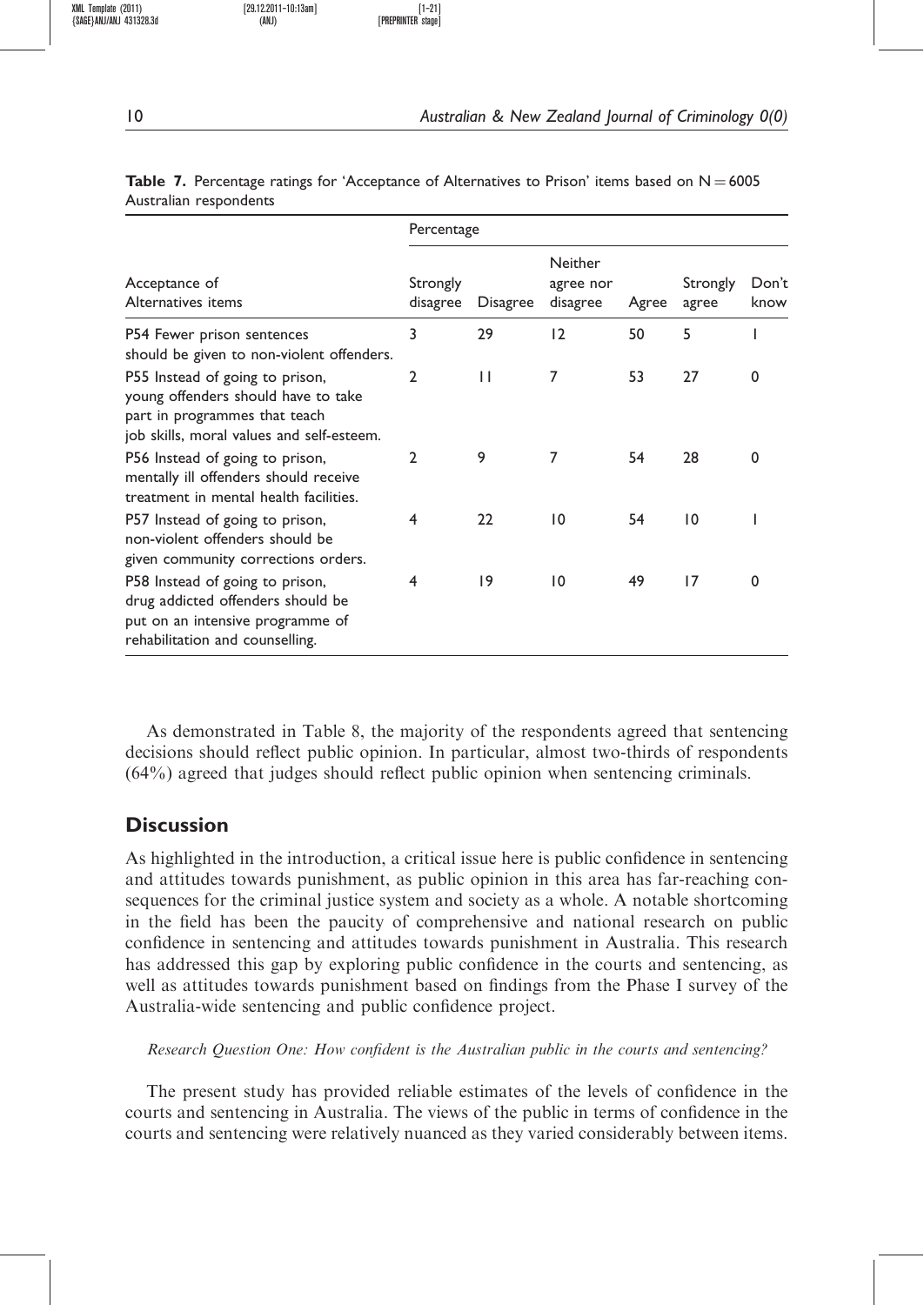|                                                                                                                                                      | Percentage           |              |                                  |       |                   |               |  |  |
|------------------------------------------------------------------------------------------------------------------------------------------------------|----------------------|--------------|----------------------------------|-------|-------------------|---------------|--|--|
| Acceptance of<br>Alternatives items                                                                                                                  | Strongly<br>disagree | Disagree     | Neither<br>agree nor<br>disagree | Agree | Strongly<br>agree | Don't<br>know |  |  |
| P54 Fewer prison sentences<br>should be given to non-violent offenders.                                                                              | 3                    | 29           | 12                               | 50    | 5                 |               |  |  |
| P55 Instead of going to prison,<br>young offenders should have to take<br>part in programmes that teach<br>job skills, moral values and self-esteem. | $\overline{2}$       | $\mathsf{L}$ | 7                                | 53    | 27                | $\Omega$      |  |  |
| P56 Instead of going to prison,<br>mentally ill offenders should receive<br>treatment in mental health facilities.                                   | $\mathfrak{p}$       | 9            | 7                                | 54    | 28                | $\Omega$      |  |  |
| P57 Instead of going to prison,<br>non-violent offenders should be<br>given community corrections orders.                                            | $\overline{4}$       | 22           | $\overline{10}$                  | 54    | 10                |               |  |  |
| P58 Instead of going to prison,<br>drug addicted offenders should be<br>put on an intensive programme of<br>rehabilitation and counselling.          | 4                    | 19           | $\overline{10}$                  | 49    | 17                | 0             |  |  |

**Table 7.** Percentage ratings for 'Acceptance of Alternatives to Prison' items based on  $N = 6005$ Australian respondents

As demonstrated in Table 8, the majority of the respondents agreed that sentencing decisions should reflect public opinion. In particular, almost two-thirds of respondents (64%) agreed that judges should reflect public opinion when sentencing criminals.

## **Discussion**

As highlighted in the introduction, a critical issue here is public confidence in sentencing and attitudes towards punishment, as public opinion in this area has far-reaching consequences for the criminal justice system and society as a whole. A notable shortcoming in the field has been the paucity of comprehensive and national research on public confidence in sentencing and attitudes towards punishment in Australia. This research has addressed this gap by exploring public confidence in the courts and sentencing, as well as attitudes towards punishment based on findings from the Phase I survey of the Australia-wide sentencing and public confidence project.

Research Question One: How confident is the Australian public in the courts and sentencing?

The present study has provided reliable estimates of the levels of confidence in the courts and sentencing in Australia. The views of the public in terms of confidence in the courts and sentencing were relatively nuanced as they varied considerably between items.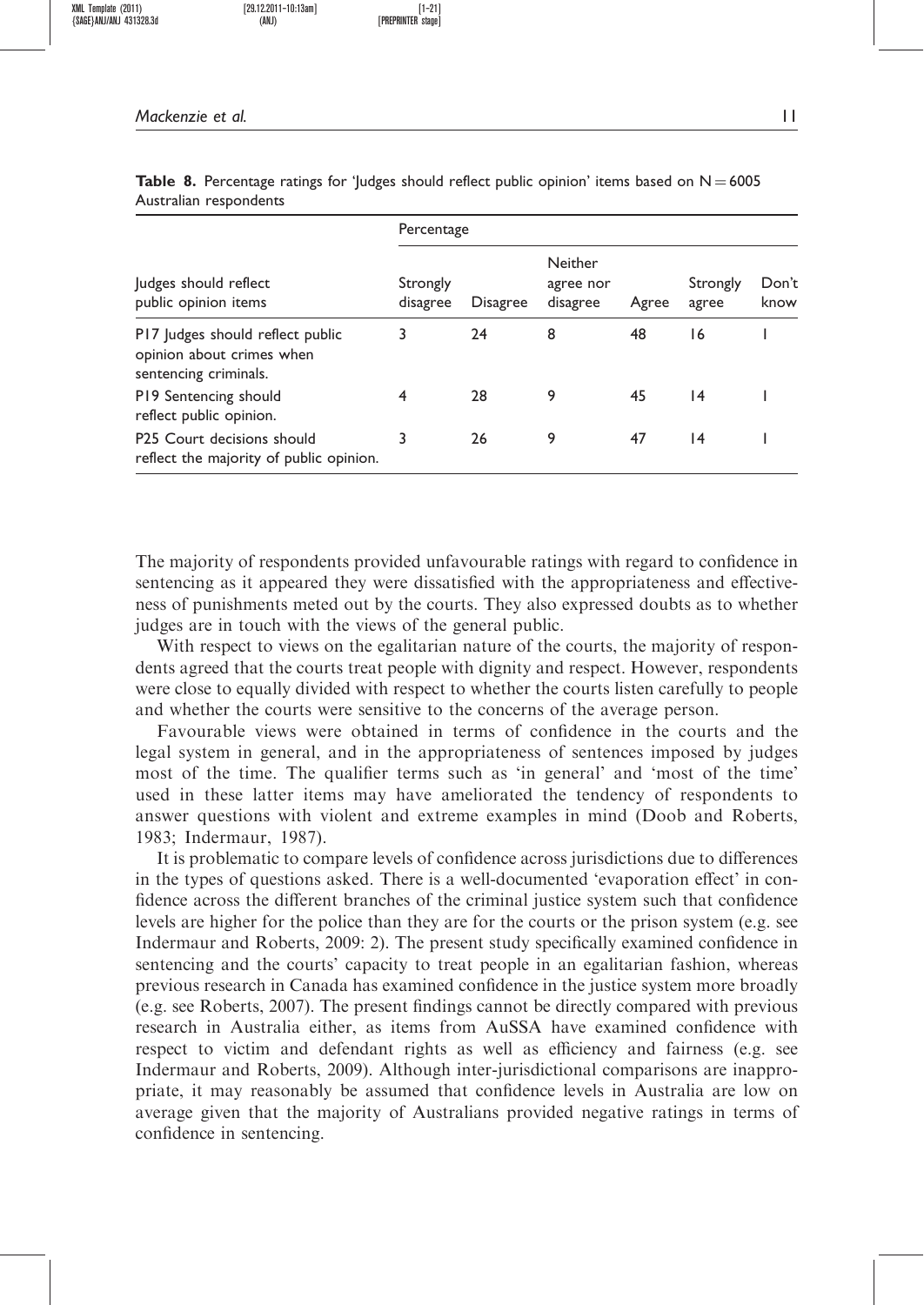#### Mackenzie et al. 11

|                                                                                        | Percentage                                                                  |    |       |                   |                 |  |  |  |
|----------------------------------------------------------------------------------------|-----------------------------------------------------------------------------|----|-------|-------------------|-----------------|--|--|--|
| Judges should reflect<br>public opinion items                                          | Neither<br>Strongly<br>agree nor<br>disagree<br>disagree<br><b>Disagree</b> |    | Agree | Strongly<br>agree | Don't<br>know   |  |  |  |
| P17 Judges should reflect public<br>opinion about crimes when<br>sentencing criminals. | 3                                                                           | 24 | 8     | 48                | 16              |  |  |  |
| P19 Sentencing should<br>reflect public opinion.                                       | 4                                                                           | 28 | 9     | 45                | $\overline{14}$ |  |  |  |
| P25 Court decisions should<br>reflect the majority of public opinion.                  | 3                                                                           | 26 | 9     | 47                | $\overline{14}$ |  |  |  |

**Table 8.** Percentage ratings for 'Judges should reflect public opinion' items based on  $N = 6005$ Australian respondents

The majority of respondents provided unfavourable ratings with regard to confidence in sentencing as it appeared they were dissatisfied with the appropriateness and effectiveness of punishments meted out by the courts. They also expressed doubts as to whether judges are in touch with the views of the general public.

With respect to views on the egalitarian nature of the courts, the majority of respondents agreed that the courts treat people with dignity and respect. However, respondents were close to equally divided with respect to whether the courts listen carefully to people and whether the courts were sensitive to the concerns of the average person.

Favourable views were obtained in terms of confidence in the courts and the legal system in general, and in the appropriateness of sentences imposed by judges most of the time. The qualifier terms such as 'in general' and 'most of the time' used in these latter items may have ameliorated the tendency of respondents to answer questions with violent and extreme examples in mind (Doob and Roberts, 1983; Indermaur, 1987).

It is problematic to compare levels of confidence across jurisdictions due to differences in the types of questions asked. There is a well-documented 'evaporation effect' in confidence across the different branches of the criminal justice system such that confidence levels are higher for the police than they are for the courts or the prison system (e.g. see Indermaur and Roberts, 2009: 2). The present study specifically examined confidence in sentencing and the courts' capacity to treat people in an egalitarian fashion, whereas previous research in Canada has examined confidence in the justice system more broadly (e.g. see Roberts, 2007). The present findings cannot be directly compared with previous research in Australia either, as items from AuSSA have examined confidence with respect to victim and defendant rights as well as efficiency and fairness (e.g. see Indermaur and Roberts, 2009). Although inter-jurisdictional comparisons are inappropriate, it may reasonably be assumed that confidence levels in Australia are low on average given that the majority of Australians provided negative ratings in terms of confidence in sentencing.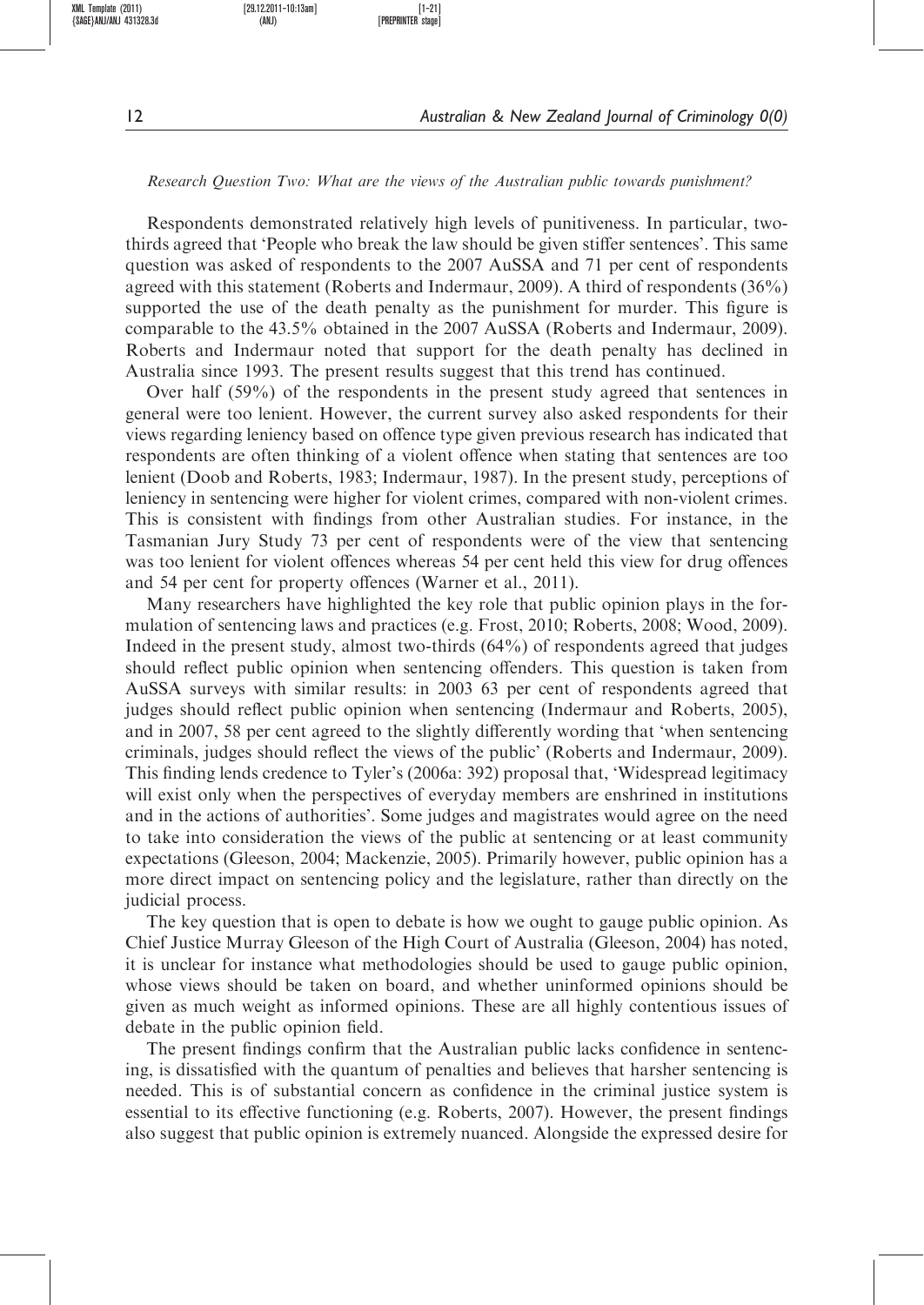#### Research Question Two: What are the views of the Australian public towards punishment?

Respondents demonstrated relatively high levels of punitiveness. In particular, twothirds agreed that 'People who break the law should be given stiffer sentences'. This same question was asked of respondents to the 2007 AuSSA and 71 per cent of respondents agreed with this statement (Roberts and Indermaur, 2009). A third of respondents (36%) supported the use of the death penalty as the punishment for murder. This figure is comparable to the 43.5% obtained in the 2007 AuSSA (Roberts and Indermaur, 2009). Roberts and Indermaur noted that support for the death penalty has declined in Australia since 1993. The present results suggest that this trend has continued.

Over half (59%) of the respondents in the present study agreed that sentences in general were too lenient. However, the current survey also asked respondents for their views regarding leniency based on offence type given previous research has indicated that respondents are often thinking of a violent offence when stating that sentences are too lenient (Doob and Roberts, 1983; Indermaur, 1987). In the present study, perceptions of leniency in sentencing were higher for violent crimes, compared with non-violent crimes. This is consistent with findings from other Australian studies. For instance, in the Tasmanian Jury Study 73 per cent of respondents were of the view that sentencing was too lenient for violent offences whereas 54 per cent held this view for drug offences and 54 per cent for property offences (Warner et al., 2011).

Many researchers have highlighted the key role that public opinion plays in the formulation of sentencing laws and practices (e.g. Frost, 2010; Roberts, 2008; Wood, 2009). Indeed in the present study, almost two-thirds (64%) of respondents agreed that judges should reflect public opinion when sentencing offenders. This question is taken from AuSSA surveys with similar results: in 2003 63 per cent of respondents agreed that judges should reflect public opinion when sentencing (Indermaur and Roberts, 2005), and in 2007, 58 per cent agreed to the slightly differently wording that 'when sentencing criminals, judges should reflect the views of the public' (Roberts and Indermaur, 2009). This finding lends credence to Tyler's (2006a: 392) proposal that, 'Widespread legitimacy will exist only when the perspectives of everyday members are enshrined in institutions and in the actions of authorities'. Some judges and magistrates would agree on the need to take into consideration the views of the public at sentencing or at least community expectations (Gleeson, 2004; Mackenzie, 2005). Primarily however, public opinion has a more direct impact on sentencing policy and the legislature, rather than directly on the judicial process.

The key question that is open to debate is how we ought to gauge public opinion. As Chief Justice Murray Gleeson of the High Court of Australia (Gleeson, 2004) has noted, it is unclear for instance what methodologies should be used to gauge public opinion, whose views should be taken on board, and whether uninformed opinions should be given as much weight as informed opinions. These are all highly contentious issues of debate in the public opinion field.

The present findings confirm that the Australian public lacks confidence in sentencing, is dissatisfied with the quantum of penalties and believes that harsher sentencing is needed. This is of substantial concern as confidence in the criminal justice system is essential to its effective functioning (e.g. Roberts, 2007). However, the present findings also suggest that public opinion is extremely nuanced. Alongside the expressed desire for

 ${SAGE}$ ANJ/ANJ 431328.3d (ANJ)

XML Template (2011) [29.12.2011–10:13am] [1–21]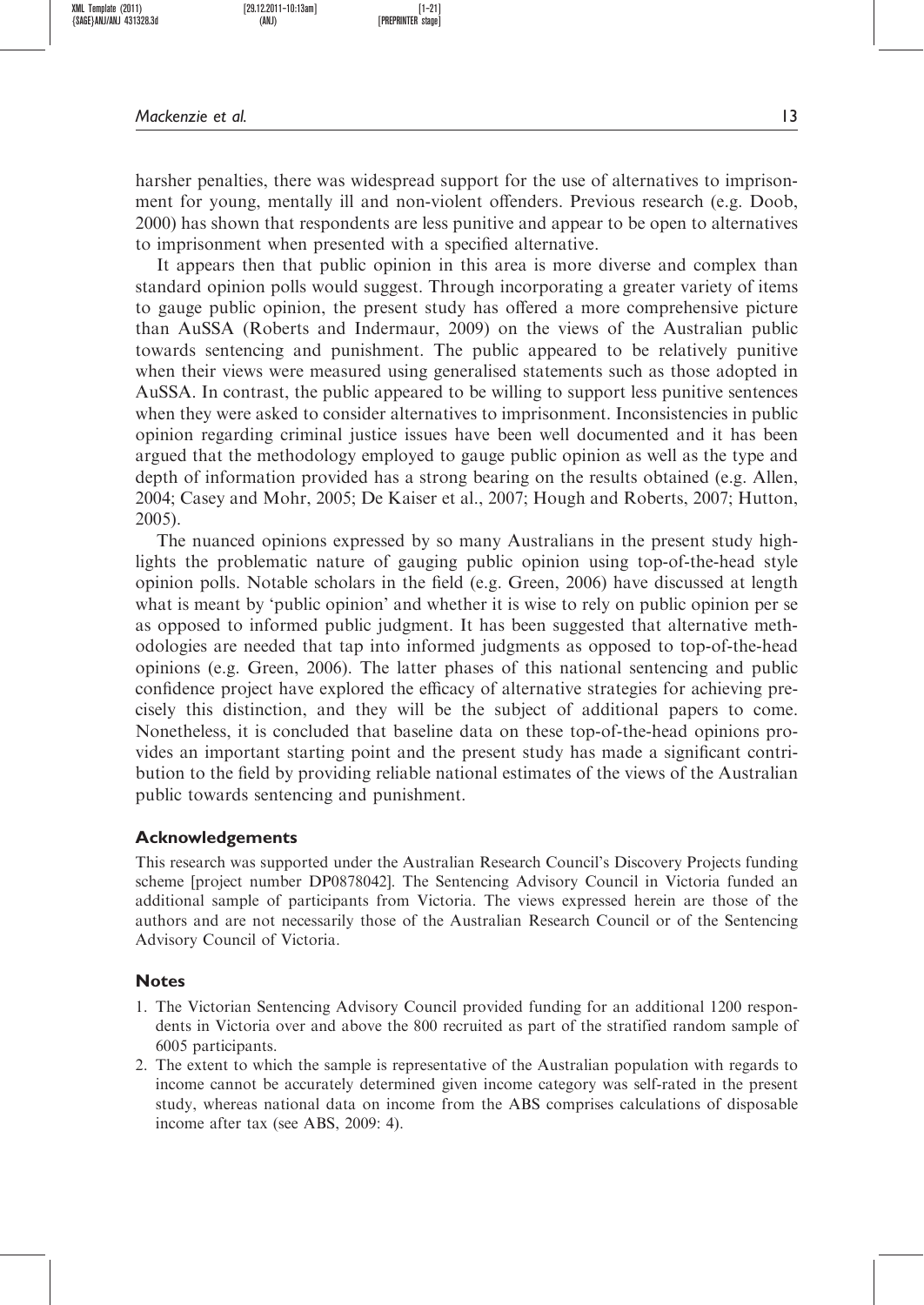harsher penalties, there was widespread support for the use of alternatives to imprisonment for young, mentally ill and non-violent offenders. Previous research (e.g. Doob, 2000) has shown that respondents are less punitive and appear to be open to alternatives to imprisonment when presented with a specified alternative.

It appears then that public opinion in this area is more diverse and complex than standard opinion polls would suggest. Through incorporating a greater variety of items to gauge public opinion, the present study has offered a more comprehensive picture than AuSSA (Roberts and Indermaur, 2009) on the views of the Australian public towards sentencing and punishment. The public appeared to be relatively punitive when their views were measured using generalised statements such as those adopted in AuSSA. In contrast, the public appeared to be willing to support less punitive sentences when they were asked to consider alternatives to imprisonment. Inconsistencies in public opinion regarding criminal justice issues have been well documented and it has been argued that the methodology employed to gauge public opinion as well as the type and depth of information provided has a strong bearing on the results obtained (e.g. Allen, 2004; Casey and Mohr, 2005; De Kaiser et al., 2007; Hough and Roberts, 2007; Hutton, 2005).

The nuanced opinions expressed by so many Australians in the present study highlights the problematic nature of gauging public opinion using top-of-the-head style opinion polls. Notable scholars in the field (e.g. Green, 2006) have discussed at length what is meant by 'public opinion' and whether it is wise to rely on public opinion per se as opposed to informed public judgment. It has been suggested that alternative methodologies are needed that tap into informed judgments as opposed to top-of-the-head opinions (e.g. Green, 2006). The latter phases of this national sentencing and public confidence project have explored the efficacy of alternative strategies for achieving precisely this distinction, and they will be the subject of additional papers to come. Nonetheless, it is concluded that baseline data on these top-of-the-head opinions provides an important starting point and the present study has made a significant contribution to the field by providing reliable national estimates of the views of the Australian public towards sentencing and punishment.

#### Acknowledgements

This research was supported under the Australian Research Council's Discovery Projects funding scheme [project number DP0878042]. The Sentencing Advisory Council in Victoria funded an additional sample of participants from Victoria. The views expressed herein are those of the authors and are not necessarily those of the Australian Research Council or of the Sentencing Advisory Council of Victoria.

#### **Notes**

- 1. The Victorian Sentencing Advisory Council provided funding for an additional 1200 respondents in Victoria over and above the 800 recruited as part of the stratified random sample of 6005 participants.
- 2. The extent to which the sample is representative of the Australian population with regards to income cannot be accurately determined given income category was self-rated in the present study, whereas national data on income from the ABS comprises calculations of disposable income after tax (see ABS, 2009: 4).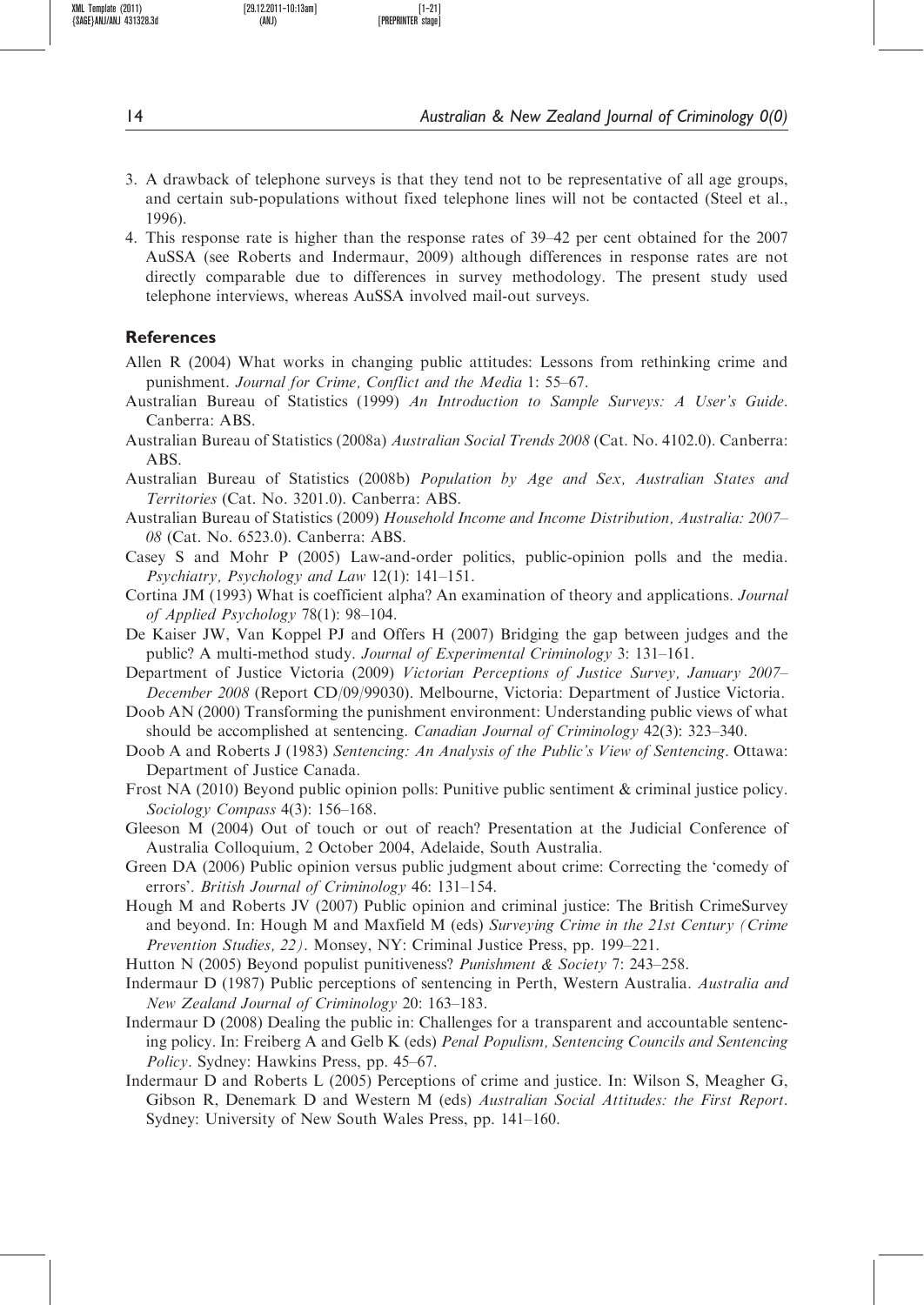- 3. A drawback of telephone surveys is that they tend not to be representative of all age groups, and certain sub-populations without fixed telephone lines will not be contacted (Steel et al., 1996).
- 4. This response rate is higher than the response rates of 39–42 per cent obtained for the 2007 AuSSA (see Roberts and Indermaur, 2009) although differences in response rates are not directly comparable due to differences in survey methodology. The present study used telephone interviews, whereas AuSSA involved mail-out surveys.

## **References**

- Allen R (2004) What works in changing public attitudes: Lessons from rethinking crime and punishment. Journal for Crime, Conflict and the Media 1: 55–67.
- Australian Bureau of Statistics (1999) An Introduction to Sample Surveys: A User's Guide. Canberra: ABS.
- Australian Bureau of Statistics (2008a) Australian Social Trends 2008 (Cat. No. 4102.0). Canberra: ABS.
- Australian Bureau of Statistics (2008b) Population by Age and Sex, Australian States and Territories (Cat. No. 3201.0). Canberra: ABS.
- Australian Bureau of Statistics (2009) Household Income and Income Distribution, Australia: 2007– 08 (Cat. No. 6523.0). Canberra: ABS.
- Casey S and Mohr P (2005) Law-and-order politics, public-opinion polls and the media. Psychiatry, Psychology and Law 12(1): 141–151.
- Cortina JM (1993) What is coefficient alpha? An examination of theory and applications. Journal of Applied Psychology 78(1): 98–104.
- De Kaiser JW, Van Koppel PJ and Offers H (2007) Bridging the gap between judges and the public? A multi-method study. Journal of Experimental Criminology 3: 131–161.
- Department of Justice Victoria (2009) Victorian Perceptions of Justice Survey, January 2007– December 2008 (Report CD/09/99030). Melbourne, Victoria: Department of Justice Victoria.
- Doob AN (2000) Transforming the punishment environment: Understanding public views of what should be accomplished at sentencing. Canadian Journal of Criminology 42(3): 323–340.
- Doob A and Roberts J (1983) Sentencing: An Analysis of the Public's View of Sentencing. Ottawa: Department of Justice Canada.
- Frost NA (2010) Beyond public opinion polls: Punitive public sentiment & criminal justice policy. Sociology Compass 4(3): 156–168.
- Gleeson M (2004) Out of touch or out of reach? Presentation at the Judicial Conference of Australia Colloquium, 2 October 2004, Adelaide, South Australia.
- Green DA (2006) Public opinion versus public judgment about crime: Correcting the 'comedy of errors'. British Journal of Criminology 46: 131–154.
- Hough M and Roberts JV (2007) Public opinion and criminal justice: The British CrimeSurvey and beyond. In: Hough M and Maxfield M (eds) Surveying Crime in the 21st Century (Crime Prevention Studies, 22). Monsey, NY: Criminal Justice Press, pp. 199–221.
- Hutton N (2005) Beyond populist punitiveness? Punishment & Society 7: 243–258.
- Indermaur D (1987) Public perceptions of sentencing in Perth, Western Australia. Australia and New Zealand Journal of Criminology 20: 163–183.
- Indermaur D (2008) Dealing the public in: Challenges for a transparent and accountable sentencing policy. In: Freiberg A and Gelb K (eds) Penal Populism, Sentencing Councils and Sentencing Policy. Sydney: Hawkins Press, pp. 45–67.
- Indermaur D and Roberts L (2005) Perceptions of crime and justice. In: Wilson S, Meagher G, Gibson R, Denemark D and Western M (eds) Australian Social Attitudes: the First Report. Sydney: University of New South Wales Press, pp. 141–160.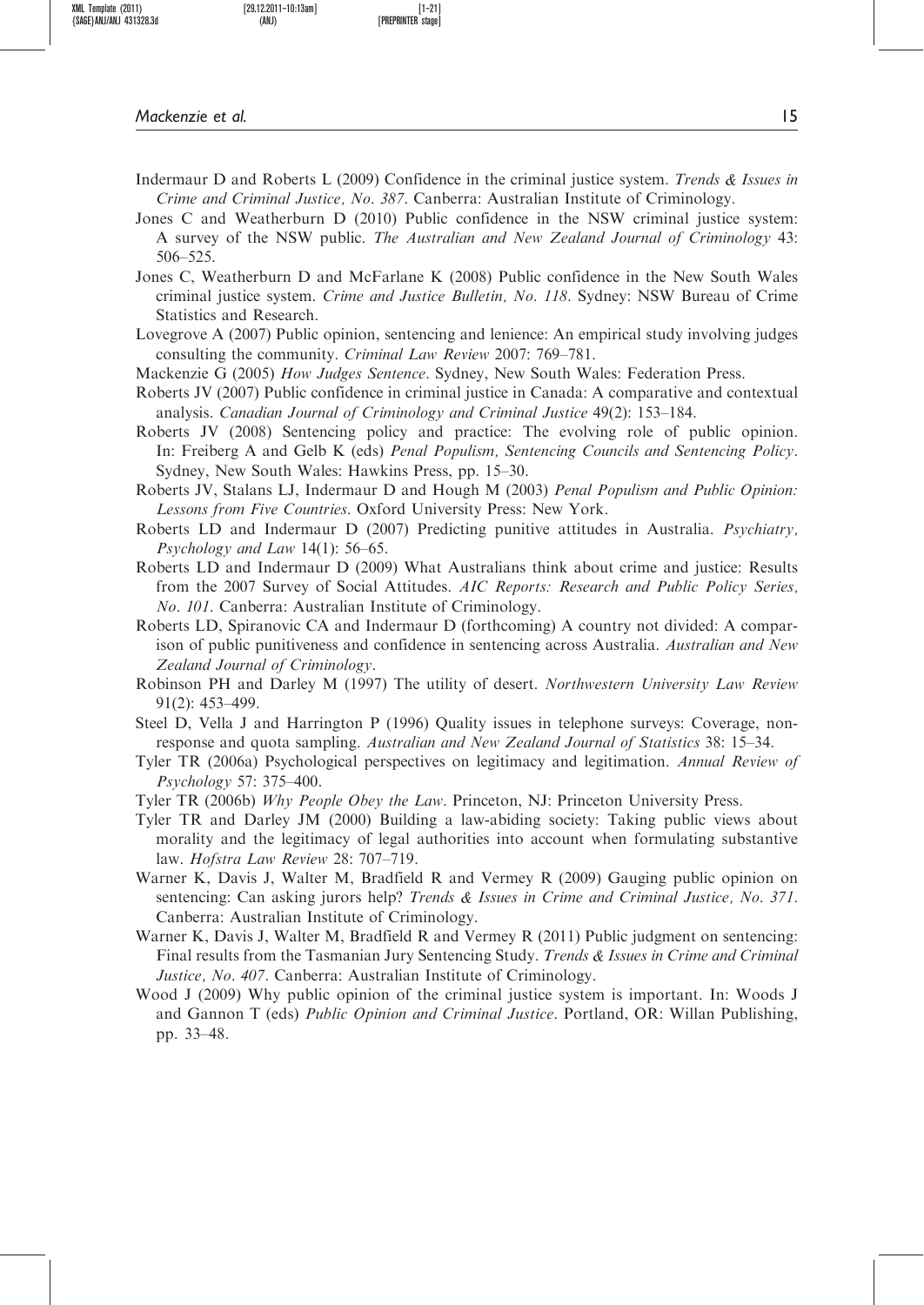Mackenzie et al. 15

- Jones C and Weatherburn D (2010) Public confidence in the NSW criminal justice system: A survey of the NSW public. The Australian and New Zealand Journal of Criminology 43: 506–525.
- Jones C, Weatherburn D and McFarlane K (2008) Public confidence in the New South Wales criminal justice system. Crime and Justice Bulletin, No. 118. Sydney: NSW Bureau of Crime Statistics and Research.
- Lovegrove A (2007) Public opinion, sentencing and lenience: An empirical study involving judges consulting the community. Criminal Law Review 2007: 769–781.
- Mackenzie G (2005) How Judges Sentence. Sydney, New South Wales: Federation Press.
- Roberts JV (2007) Public confidence in criminal justice in Canada: A comparative and contextual analysis. Canadian Journal of Criminology and Criminal Justice 49(2): 153–184.
- Roberts JV (2008) Sentencing policy and practice: The evolving role of public opinion. In: Freiberg A and Gelb K (eds) Penal Populism, Sentencing Councils and Sentencing Policy. Sydney, New South Wales: Hawkins Press, pp. 15–30.
- Roberts JV, Stalans LJ, Indermaur D and Hough M (2003) Penal Populism and Public Opinion: Lessons from Five Countries. Oxford University Press: New York.
- Roberts LD and Indermaur D (2007) Predicting punitive attitudes in Australia. Psychiatry, Psychology and Law 14(1): 56–65.
- Roberts LD and Indermaur D (2009) What Australians think about crime and justice: Results from the 2007 Survey of Social Attitudes. AIC Reports: Research and Public Policy Series, No. 101. Canberra: Australian Institute of Criminology.
- Roberts LD, Spiranovic CA and Indermaur D (forthcoming) A country not divided: A comparison of public punitiveness and confidence in sentencing across Australia. Australian and New Zealand Journal of Criminology.
- Robinson PH and Darley M (1997) The utility of desert. Northwestern University Law Review 91(2): 453–499.
- Steel D, Vella J and Harrington P (1996) Quality issues in telephone surveys: Coverage, nonresponse and quota sampling. Australian and New Zealand Journal of Statistics 38: 15–34.
- Tyler TR (2006a) Psychological perspectives on legitimacy and legitimation. Annual Review of Psychology 57: 375–400.
- Tyler TR (2006b) Why People Obey the Law. Princeton, NJ: Princeton University Press.
- Tyler TR and Darley JM (2000) Building a law-abiding society: Taking public views about morality and the legitimacy of legal authorities into account when formulating substantive law. Hofstra Law Review 28: 707–719.
- Warner K, Davis J, Walter M, Bradfield R and Vermey R (2009) Gauging public opinion on sentencing: Can asking jurors help? Trends & Issues in Crime and Criminal Justice, No. 371. Canberra: Australian Institute of Criminology.
- Warner K, Davis J, Walter M, Bradfield R and Vermey R (2011) Public judgment on sentencing: Final results from the Tasmanian Jury Sentencing Study. Trends & Issues in Crime and Criminal Justice, No. 407. Canberra: Australian Institute of Criminology.
- Wood J (2009) Why public opinion of the criminal justice system is important. In: Woods J and Gannon T (eds) Public Opinion and Criminal Justice. Portland, OR: Willan Publishing, pp. 33–48.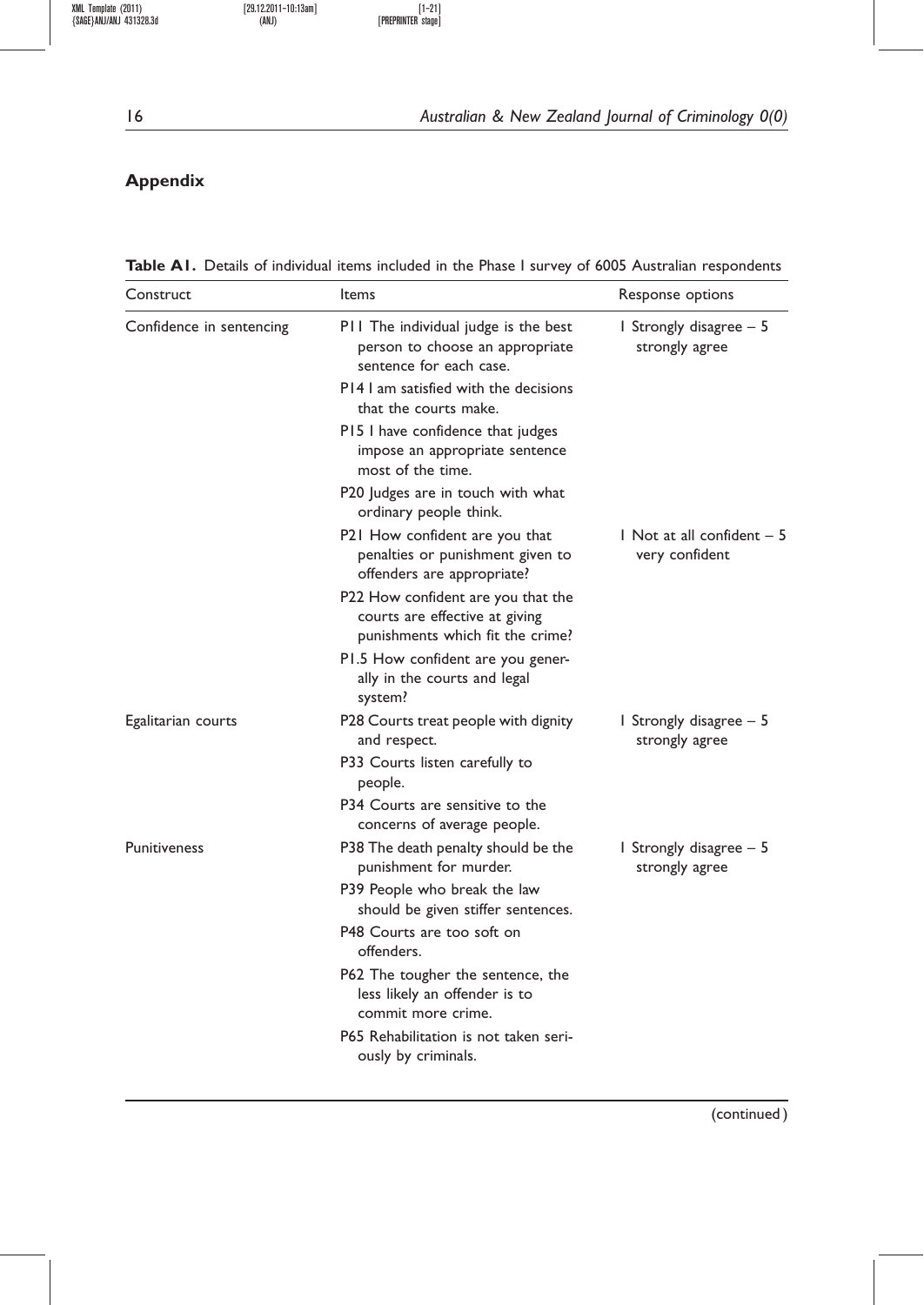# Appendix

Table A1. Details of individual items included in the Phase I survey of 6005 Australian respondents

| Construct                | Items                                                                                                    | Response options                                           |
|--------------------------|----------------------------------------------------------------------------------------------------------|------------------------------------------------------------|
| Confidence in sentencing | P11 The individual judge is the best<br>person to choose an appropriate<br>sentence for each case.       | I Strongly disagree $-5$<br>strongly agree                 |
|                          | P14 I am satisfied with the decisions<br>that the courts make.                                           |                                                            |
|                          | P15 I have confidence that judges<br>impose an appropriate sentence<br>most of the time.                 |                                                            |
|                          | P20 Judges are in touch with what<br>ordinary people think.                                              |                                                            |
|                          | P21 How confident are you that<br>penalties or punishment given to<br>offenders are appropriate?         | $\blacksquare$ Not at all confident $-5$<br>very confident |
|                          | P22 How confident are you that the<br>courts are effective at giving<br>punishments which fit the crime? |                                                            |
|                          | P1.5 How confident are you gener-<br>ally in the courts and legal<br>system?                             |                                                            |
| Egalitarian courts       | P28 Courts treat people with dignity<br>and respect.                                                     | I Strongly disagree $-5$<br>strongly agree                 |
|                          | P33 Courts listen carefully to<br>people.                                                                |                                                            |
|                          | P34 Courts are sensitive to the<br>concerns of average people.                                           |                                                            |
| Punitiveness             | P38 The death penalty should be the<br>punishment for murder.                                            | 1 Strongly disagree - 5<br>strongly agree                  |
|                          | P39 People who break the law<br>should be given stiffer sentences.                                       |                                                            |
|                          | P48 Courts are too soft on<br>offenders.                                                                 |                                                            |
|                          | P62 The tougher the sentence, the<br>less likely an offender is to<br>commit more crime.                 |                                                            |
|                          | P65 Rehabilitation is not taken seri-<br>ously by criminals.                                             |                                                            |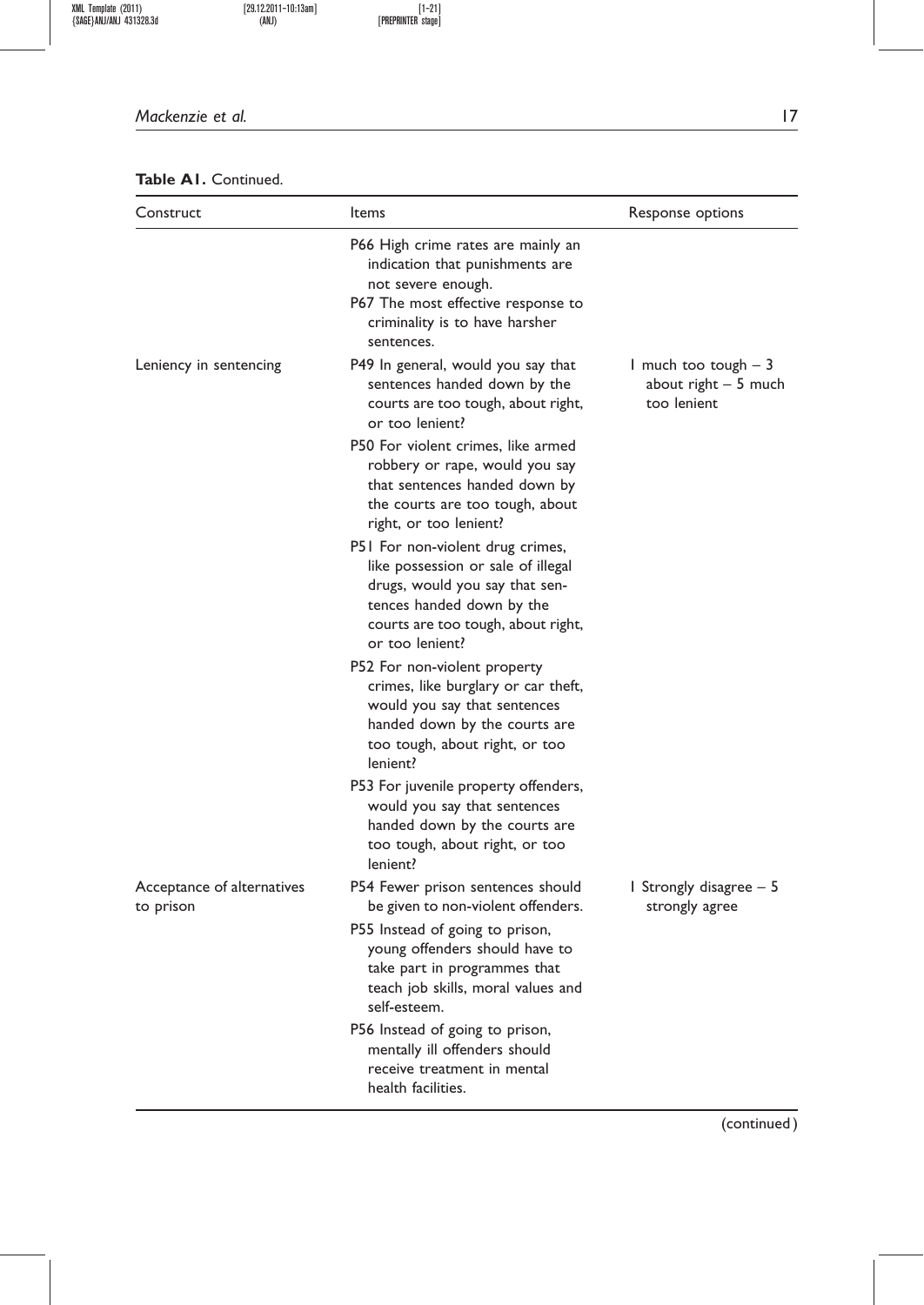### Mackenzie et al. 17

## Table A1. Continued.

| Construct                  | Items                                                                                                                                                                                          | Response options                                              |
|----------------------------|------------------------------------------------------------------------------------------------------------------------------------------------------------------------------------------------|---------------------------------------------------------------|
|                            | P66 High crime rates are mainly an<br>indication that punishments are<br>not severe enough.<br>P67 The most effective response to<br>criminality is to have harsher<br>sentences.              |                                                               |
| Leniency in sentencing     | P49 In general, would you say that<br>sentences handed down by the<br>courts are too tough, about right,<br>or too lenient?                                                                    | I much too tough $-3$<br>about right $-5$ much<br>too lenient |
|                            | P50 For violent crimes, like armed<br>robbery or rape, would you say<br>that sentences handed down by<br>the courts are too tough, about<br>right, or too lenient?                             |                                                               |
|                            | P51 For non-violent drug crimes,<br>like possession or sale of illegal<br>drugs, would you say that sen-<br>tences handed down by the<br>courts are too tough, about right,<br>or too lenient? |                                                               |
|                            | P52 For non-violent property<br>crimes, like burglary or car theft,<br>would you say that sentences<br>handed down by the courts are<br>too tough, about right, or too<br>lenient?             |                                                               |
|                            | P53 For juvenile property offenders,<br>would you say that sentences<br>handed down by the courts are<br>too tough, about right, or too<br>lenient?                                            |                                                               |
| Acceptance of alternatives | P54 Fewer prison sentences should<br>be given to non-violent offenders.                                                                                                                        | 1 Strongly disagree – 5<br>strongly agree                     |
| to prison                  | P55 Instead of going to prison,<br>young offenders should have to<br>take part in programmes that<br>teach job skills, moral values and<br>self-esteem.                                        |                                                               |
|                            | P56 Instead of going to prison,<br>mentally ill offenders should<br>receive treatment in mental<br>health facilities.                                                                          |                                                               |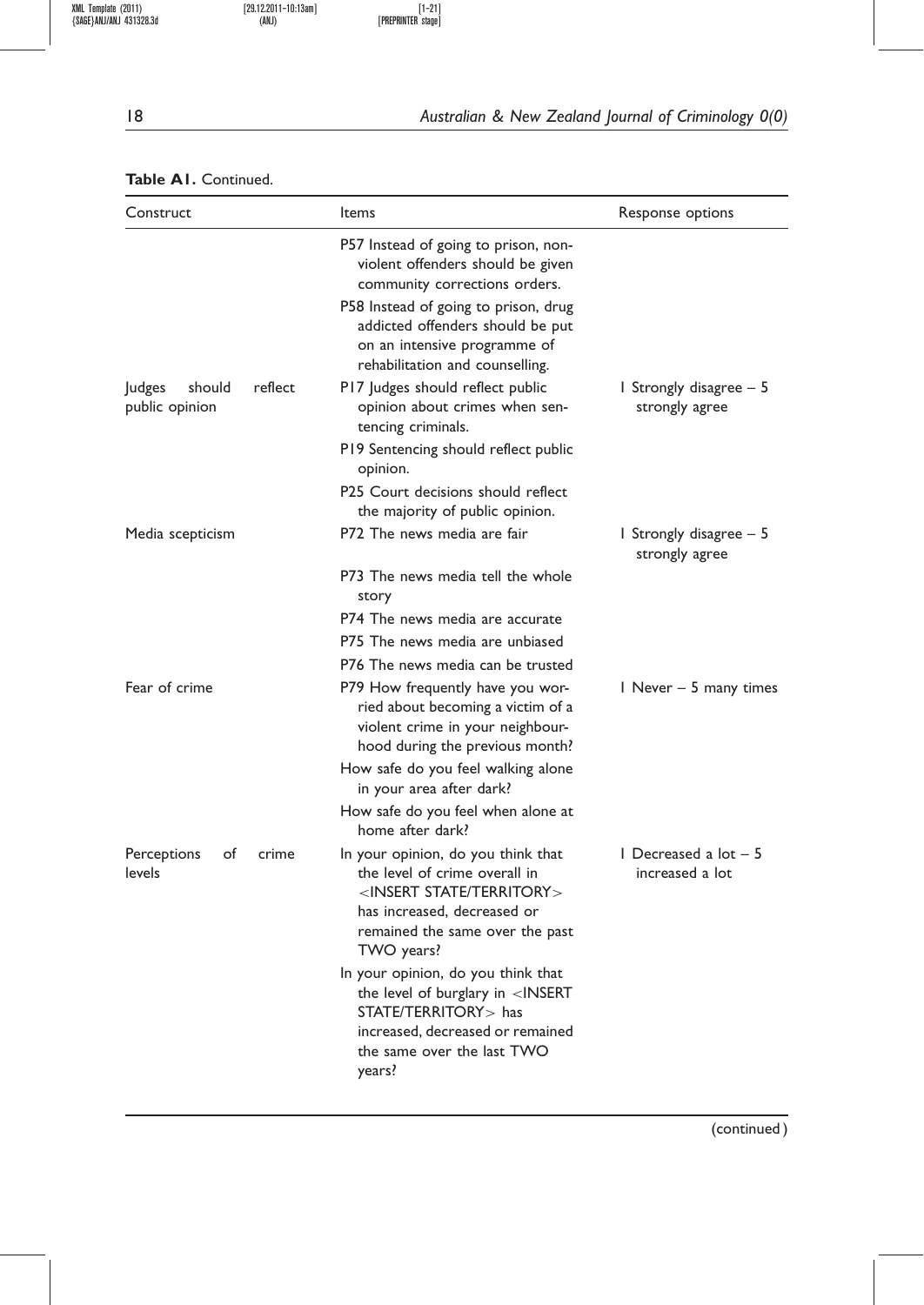# 18 **Australian & New Zealand Journal of Criminology 0(0)**

## Table A1. Continued.

| Construct                          | Items                                                                                                                                                                                          | Response options                                |  |  |
|------------------------------------|------------------------------------------------------------------------------------------------------------------------------------------------------------------------------------------------|-------------------------------------------------|--|--|
|                                    | P57 Instead of going to prison, non-<br>violent offenders should be given<br>community corrections orders.                                                                                     |                                                 |  |  |
|                                    | P58 Instead of going to prison, drug<br>addicted offenders should be put<br>on an intensive programme of<br>rehabilitation and counselling.                                                    |                                                 |  |  |
| Judges<br>should<br>public opinion | reflect<br>P17 Judges should reflect public<br>opinion about crimes when sen-<br>tencing criminals.                                                                                            | 1 Strongly disagree – 5<br>strongly agree       |  |  |
|                                    | P19 Sentencing should reflect public<br>opinion.                                                                                                                                               |                                                 |  |  |
|                                    | P25 Court decisions should reflect<br>the majority of public opinion.                                                                                                                          |                                                 |  |  |
| Media scepticism                   | P72 The news media are fair                                                                                                                                                                    | 1 Strongly disagree – 5<br>strongly agree       |  |  |
|                                    | P73 The news media tell the whole<br>story                                                                                                                                                     |                                                 |  |  |
|                                    | P74 The news media are accurate                                                                                                                                                                |                                                 |  |  |
|                                    | P75 The news media are unbiased                                                                                                                                                                |                                                 |  |  |
|                                    | P76 The news media can be trusted                                                                                                                                                              |                                                 |  |  |
| Fear of crime                      | P79 How frequently have you wor-<br>ried about becoming a victim of a<br>violent crime in your neighbour-<br>hood during the previous month?                                                   | 1 Never – 5 many times                          |  |  |
|                                    | How safe do you feel walking alone<br>in your area after dark?                                                                                                                                 |                                                 |  |  |
|                                    | How safe do you feel when alone at<br>home after dark?                                                                                                                                         |                                                 |  |  |
| Perceptions<br>of<br>levels        | crime<br>In your opinion, do you think that<br>the level of crime overall in<br>$<$ INSERT STATE/TERRITORY $>$<br>has increased, decreased or<br>remained the same over the past<br>TWO years? | $\vert$ Decreased a lot $-5$<br>increased a lot |  |  |
|                                    | In your opinion, do you think that<br>the level of burglary in <insert<br>STATE/TERRITORY &gt; has<br/>increased, decreased or remained<br/>the same over the last TWO<br/>years?</insert<br>  |                                                 |  |  |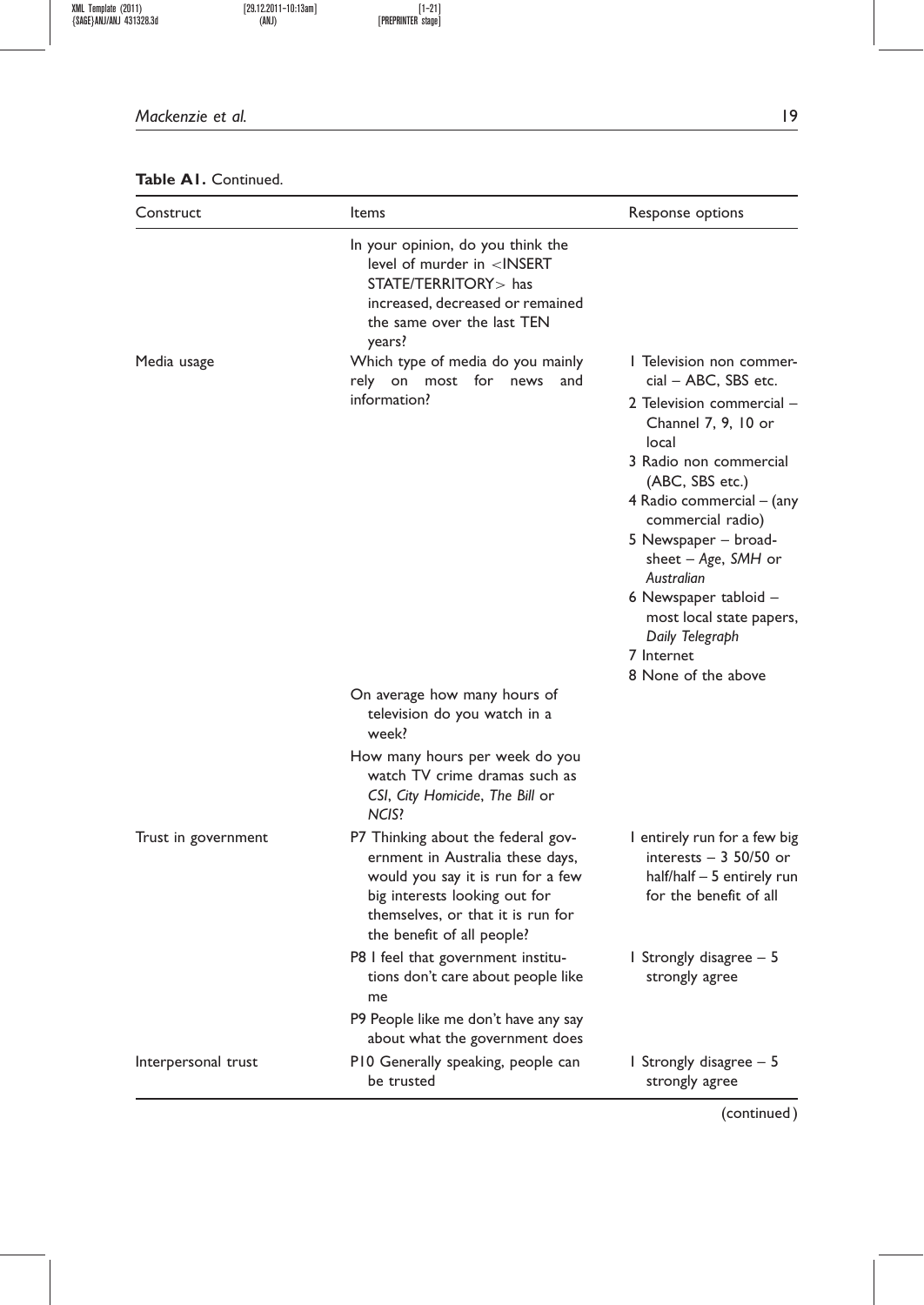## Mackenzie et al. 19

## Table A1. Continued.

| Construct           | Items                                                                                                                                                                                                                    | Response options                                                                                                                                                                                                                                                                                                                                                                         |
|---------------------|--------------------------------------------------------------------------------------------------------------------------------------------------------------------------------------------------------------------------|------------------------------------------------------------------------------------------------------------------------------------------------------------------------------------------------------------------------------------------------------------------------------------------------------------------------------------------------------------------------------------------|
|                     | In your opinion, do you think the<br>level of murder in $\leq$ INSERT<br>STATE/TERRITORY > has<br>increased, decreased or remained<br>the same over the last TEN<br>years?                                               |                                                                                                                                                                                                                                                                                                                                                                                          |
| Media usage         | Which type of media do you mainly<br>rely on most for<br>news<br>and<br>information?                                                                                                                                     | I Television non commer-<br>cial - ABC, SBS etc.<br>2 Television commercial –<br>Channel 7, 9, 10 or<br>local<br>3 Radio non commercial<br>(ABC, SBS etc.)<br>4 Radio commercial – (any<br>commercial radio)<br>5 Newspaper – broad-<br>sheet $-A$ ge, SMH or<br>Australian<br>6 Newspaper tabloid –<br>most local state papers,<br>Daily Telegraph<br>7 Internet<br>8 None of the above |
|                     | On average how many hours of<br>television do you watch in a<br>week?<br>How many hours per week do you<br>watch TV crime dramas such as<br>CSI, City Homicide, The Bill or                                              |                                                                                                                                                                                                                                                                                                                                                                                          |
| Trust in government | NCIS?<br>P7 Thinking about the federal gov-<br>ernment in Australia these days,<br>would you say it is run for a few<br>big interests looking out for<br>themselves, or that it is run for<br>the benefit of all people? | I entirely run for a few big<br>interests $-3$ 50/50 or<br>$half/half - 5$ entirely run<br>for the benefit of all                                                                                                                                                                                                                                                                        |
|                     | P8 I feel that government institu-<br>tions don't care about people like<br>me<br>P9 People like me don't have any say<br>about what the government does                                                                 | 1 Strongly disagree – 5<br>strongly agree                                                                                                                                                                                                                                                                                                                                                |
| Interpersonal trust | P10 Generally speaking, people can<br>be trusted                                                                                                                                                                         | 1 Strongly disagree – 5<br>strongly agree                                                                                                                                                                                                                                                                                                                                                |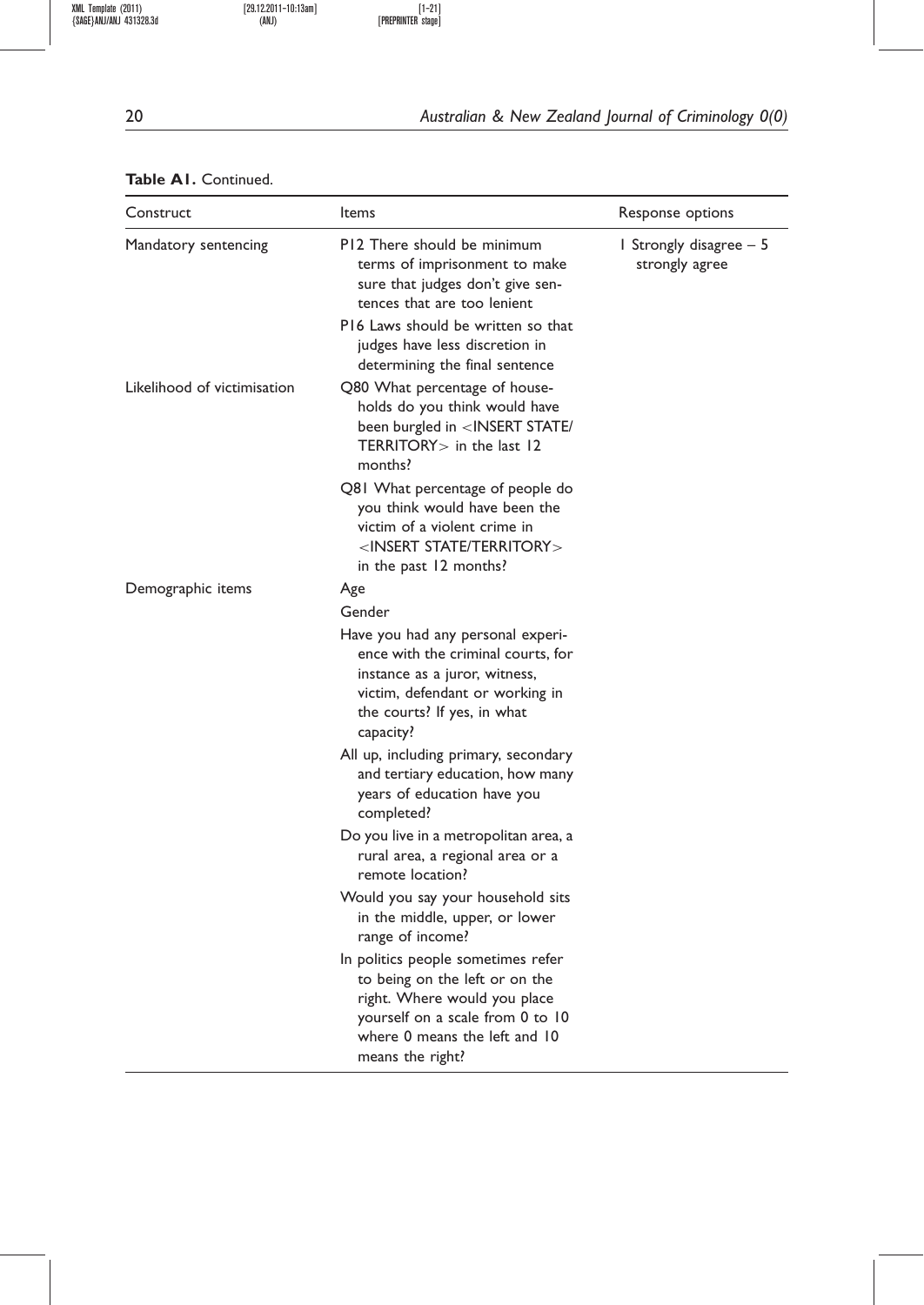## 20 **Australian & New Zealand Journal of Criminology 0(0)**

## Table A1. Continued.

| Construct                   | Items                                                                                                                                                                                         | Response options                          |  |  |
|-----------------------------|-----------------------------------------------------------------------------------------------------------------------------------------------------------------------------------------------|-------------------------------------------|--|--|
| Mandatory sentencing        | P12 There should be minimum<br>terms of imprisonment to make<br>sure that judges don't give sen-<br>tences that are too lenient<br>P16 Laws should be written so that                         | I Strongly disagree – 5<br>strongly agree |  |  |
|                             | judges have less discretion in<br>determining the final sentence                                                                                                                              |                                           |  |  |
| Likelihood of victimisation | Q80 What percentage of house-<br>holds do you think would have<br>been burgled in <insert <br="" state=""><math>TERRITORY&gt;</math> in the last 12<br/>months?</insert>                      |                                           |  |  |
|                             | Q81 What percentage of people do<br>you think would have been the<br>victim of a violent crime in<br>$<$ INSERT STATE/TERRITORY $>$<br>in the past 12 months?                                 |                                           |  |  |
| Demographic items           | Age                                                                                                                                                                                           |                                           |  |  |
|                             | Gender                                                                                                                                                                                        |                                           |  |  |
|                             | Have you had any personal experi-<br>ence with the criminal courts. for<br>instance as a juror, witness,<br>victim, defendant or working in<br>the courts? If yes, in what<br>capacity?       |                                           |  |  |
|                             | All up, including primary, secondary<br>and tertiary education, how many<br>years of education have you<br>completed?                                                                         |                                           |  |  |
|                             | Do you live in a metropolitan area, a<br>rural area, a regional area or a<br>remote location?                                                                                                 |                                           |  |  |
|                             | Would you say your household sits<br>in the middle, upper, or lower<br>range of income?                                                                                                       |                                           |  |  |
|                             | In politics people sometimes refer<br>to being on the left or on the<br>right. Where would you place<br>yourself on a scale from 0 to 10<br>where 0 means the left and 10<br>means the right? |                                           |  |  |